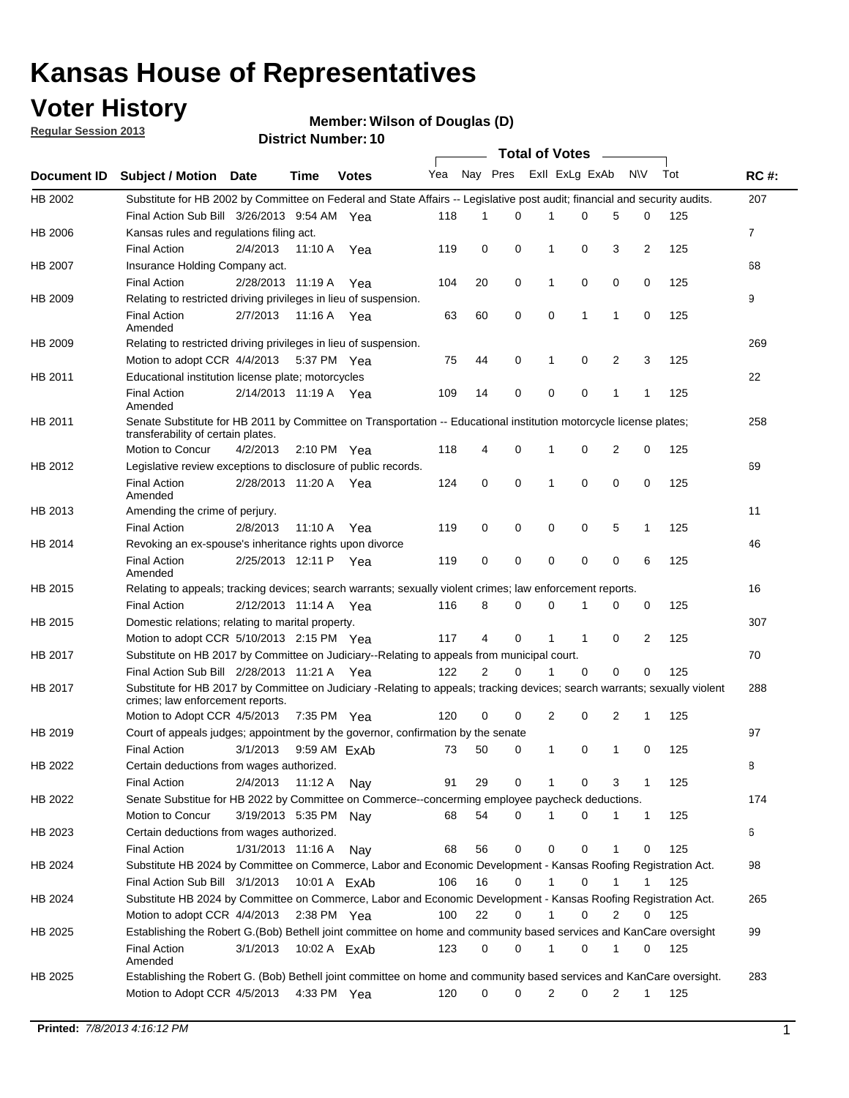## **Voter History**

**Member: Wilson of Douglas (D)** 

**Regular Session 2013**

|                    |                                                                                                                            |                       | ו וסמווטג ועמוווט <del>כ</del> ו |              |              |    | Total of Votes _____ |                |              |                |              |     |                |
|--------------------|----------------------------------------------------------------------------------------------------------------------------|-----------------------|----------------------------------|--------------|--------------|----|----------------------|----------------|--------------|----------------|--------------|-----|----------------|
| <b>Document ID</b> | <b>Subject / Motion Date</b>                                                                                               |                       | Time                             | <b>Votes</b> | Yea Nay Pres |    |                      | Exll ExLg ExAb |              |                | N\V          | Tot | <b>RC#:</b>    |
| HB 2002            | Substitute for HB 2002 by Committee on Federal and State Affairs -- Legislative post audit; financial and security audits. |                       |                                  |              |              |    |                      |                |              |                |              |     | 207            |
|                    | Final Action Sub Bill 3/26/2013 9:54 AM Yea                                                                                |                       |                                  |              | 118          | 1  | $\Omega$             |                | 0            | 5              | 0            | 125 |                |
| HB 2006            | Kansas rules and regulations filing act.                                                                                   |                       |                                  |              |              |    |                      |                |              |                |              |     | $\overline{7}$ |
|                    | <b>Final Action</b>                                                                                                        | 2/4/2013              | 11:10 A Yea                      |              | 119          | 0  | 0                    | 1              | 0            | 3              | 2            | 125 |                |
| HB 2007            | Insurance Holding Company act.                                                                                             |                       |                                  |              |              |    |                      |                |              |                |              |     | 68             |
|                    | <b>Final Action</b>                                                                                                        | 2/28/2013 11:19 A     |                                  | Yea          | 104          | 20 | 0                    | 1              | 0            | 0              | 0            | 125 |                |
| HB 2009            | Relating to restricted driving privileges in lieu of suspension.                                                           |                       |                                  |              |              |    |                      |                |              |                |              |     | 9              |
|                    | <b>Final Action</b><br>Amended                                                                                             | 2/7/2013              | 11:16 A Yea                      |              | 63           | 60 | 0                    | 0              | 1            | $\mathbf{1}$   | 0            | 125 |                |
| HB 2009            | Relating to restricted driving privileges in lieu of suspension.                                                           |                       |                                  |              |              |    |                      |                |              |                |              |     | 269            |
|                    | Motion to adopt CCR 4/4/2013                                                                                               |                       | 5:37 PM Yea                      |              | 75           | 44 | 0                    | 1              | 0            | 2              | 3            | 125 |                |
| HB 2011            | Educational institution license plate; motorcycles                                                                         |                       |                                  |              |              |    |                      |                |              |                |              |     | 22             |
|                    | <b>Final Action</b><br>Amended                                                                                             | 2/14/2013 11:19 A Yea |                                  |              | 109          | 14 | 0                    | 0              | 0            | 1              | 1            | 125 |                |
| HB 2011            | Senate Substitute for HB 2011 by Committee on Transportation -- Educational institution motorcycle license plates;         |                       |                                  |              |              |    |                      |                |              |                |              |     | 258            |
|                    | transferability of certain plates.                                                                                         |                       |                                  |              |              |    |                      |                |              |                |              |     |                |
|                    | Motion to Concur                                                                                                           | 4/2/2013              | $2:10 \text{ PM}$ Yea            |              | 118          | 4  | 0                    | $\mathbf 1$    | 0            | $\overline{2}$ | 0            | 125 |                |
| HB 2012            | Legislative review exceptions to disclosure of public records.                                                             |                       |                                  |              |              |    |                      |                |              |                |              |     | 69             |
|                    | <b>Final Action</b><br>Amended                                                                                             | 2/28/2013 11:20 A Yea |                                  |              | 124          | 0  | 0                    | 1              | 0            | 0              | 0            | 125 |                |
| HB 2013            | Amending the crime of perjury.                                                                                             |                       |                                  |              |              |    |                      |                |              |                |              |     | 11             |
|                    | <b>Final Action</b>                                                                                                        | 2/8/2013              | 11:10 A                          | Yea          | 119          | 0  | 0                    | 0              | 0            | 5              | 1            | 125 |                |
| HB 2014            | Revoking an ex-spouse's inheritance rights upon divorce                                                                    |                       |                                  |              |              |    |                      |                |              |                |              |     | 46             |
|                    | <b>Final Action</b><br>Amended                                                                                             | 2/25/2013 12:11 P     |                                  | Yea          | 119          | 0  | $\mathbf 0$          | 0              | 0            | 0              | 6            | 125 |                |
| HB 2015            | Relating to appeals; tracking devices; search warrants; sexually violent crimes; law enforcement reports.                  |                       |                                  |              |              |    |                      |                |              |                |              |     | 16             |
|                    | <b>Final Action</b>                                                                                                        | 2/12/2013 11:14 A     |                                  | Yea          | 116          | 8  | 0                    | 0              | 1            | 0              | 0            | 125 |                |
| HB 2015            | Domestic relations; relating to marital property.                                                                          |                       |                                  |              |              |    |                      |                |              |                |              |     | 307            |
|                    | Motion to adopt CCR 5/10/2013 2:15 PM Yea                                                                                  |                       |                                  |              | 117          | 4  | 0                    | $\mathbf{1}$   | $\mathbf{1}$ | 0              | 2            | 125 |                |
| HB 2017            | Substitute on HB 2017 by Committee on Judiciary--Relating to appeals from municipal court.                                 |                       |                                  |              |              |    |                      |                |              |                |              |     | 70             |
|                    | Final Action Sub Bill 2/28/2013 11:21 A Yea                                                                                |                       |                                  |              | 122          | 2  | 0                    | 1              | 0            | 0              | 0            | 125 |                |
| HB 2017            | Substitute for HB 2017 by Committee on Judiciary -Relating to appeals; tracking devices; search warrants; sexually violent |                       |                                  |              |              |    |                      |                |              |                |              |     | 288            |
|                    | crimes; law enforcement reports.                                                                                           |                       |                                  |              |              |    |                      |                |              |                |              |     |                |
|                    | Motion to Adopt CCR 4/5/2013                                                                                               |                       | 7:35 PM Yea                      |              | 120          | 0  | 0                    | 2              | 0            | 2              | 1            | 125 |                |
| HB 2019            | Court of appeals judges; appointment by the governor, confirmation by the senate                                           |                       |                                  |              |              |    |                      |                |              |                |              |     | 97             |
|                    | Final Action                                                                                                               | 3/1/2013              | 9:59 AM ExAb                     |              | 73           | 50 | 0                    | 1              | 0            | 1              | 0            | 125 |                |
| HB 2022            | Certain deductions from wages authorized.                                                                                  |                       |                                  |              |              |    |                      |                |              |                |              |     | 8              |
|                    | <b>Final Action</b>                                                                                                        | 2/4/2013              | 11:12 A                          | Nav          | 91           | 29 | 0                    |                | 0            | 3              | 1            | 125 |                |
| HB 2022            | Senate Substitue for HB 2022 by Committee on Commerce--concerming employee paycheck deductions.                            |                       |                                  |              |              |    |                      |                |              |                |              |     | 174            |
|                    | Motion to Concur                                                                                                           | 3/19/2013 5:35 PM Nav |                                  |              | 68           | 54 | 0                    | 1              | 0            | 1              | $\mathbf{1}$ | 125 |                |
| HB 2023            | Certain deductions from wages authorized.                                                                                  |                       |                                  |              |              |    |                      |                |              |                |              |     | 6              |
|                    | <b>Final Action</b>                                                                                                        | 1/31/2013 11:16 A     |                                  | Nay          | 68           | 56 | 0                    | 0              | 0            | 1              | 0            | 125 |                |
| HB 2024            | Substitute HB 2024 by Committee on Commerce, Labor and Economic Development - Kansas Roofing Registration Act.             |                       |                                  |              |              |    |                      |                |              |                |              |     | 98             |
|                    | Final Action Sub Bill 3/1/2013                                                                                             |                       | 10:01 A FxAb                     |              | 106          | 16 | 0                    | 1              | 0            | 1              | 1            | 125 |                |
| HB 2024            | Substitute HB 2024 by Committee on Commerce, Labor and Economic Development - Kansas Roofing Registration Act.             |                       |                                  |              |              |    |                      |                |              |                |              |     | 265            |
|                    | Motion to adopt CCR 4/4/2013                                                                                               |                       | 2:38 PM Yea                      |              | 100          | 22 | 0                    | 1              | 0            | 2              | 0            | 125 |                |
| HB 2025            | Establishing the Robert G.(Bob) Bethell joint committee on home and community based services and KanCare oversight         |                       |                                  |              |              |    |                      |                |              |                |              |     | 99             |
|                    | <b>Final Action</b><br>Amended                                                                                             | 3/1/2013              | 10:02 A ExAb                     |              | 123          | 0  | 0                    | $\mathbf{1}$   | 0            | 1              | 0            | 125 |                |
| HB 2025            | Establishing the Robert G. (Bob) Bethell joint committee on home and community based services and KanCare oversight.       |                       |                                  |              |              |    |                      |                |              |                |              |     | 283            |
|                    | Motion to Adopt CCR 4/5/2013                                                                                               |                       | 4:33 PM Yea                      |              | 120          | 0  | 0                    | 2              | 0            | $\overline{2}$ | $\mathbf{1}$ | 125 |                |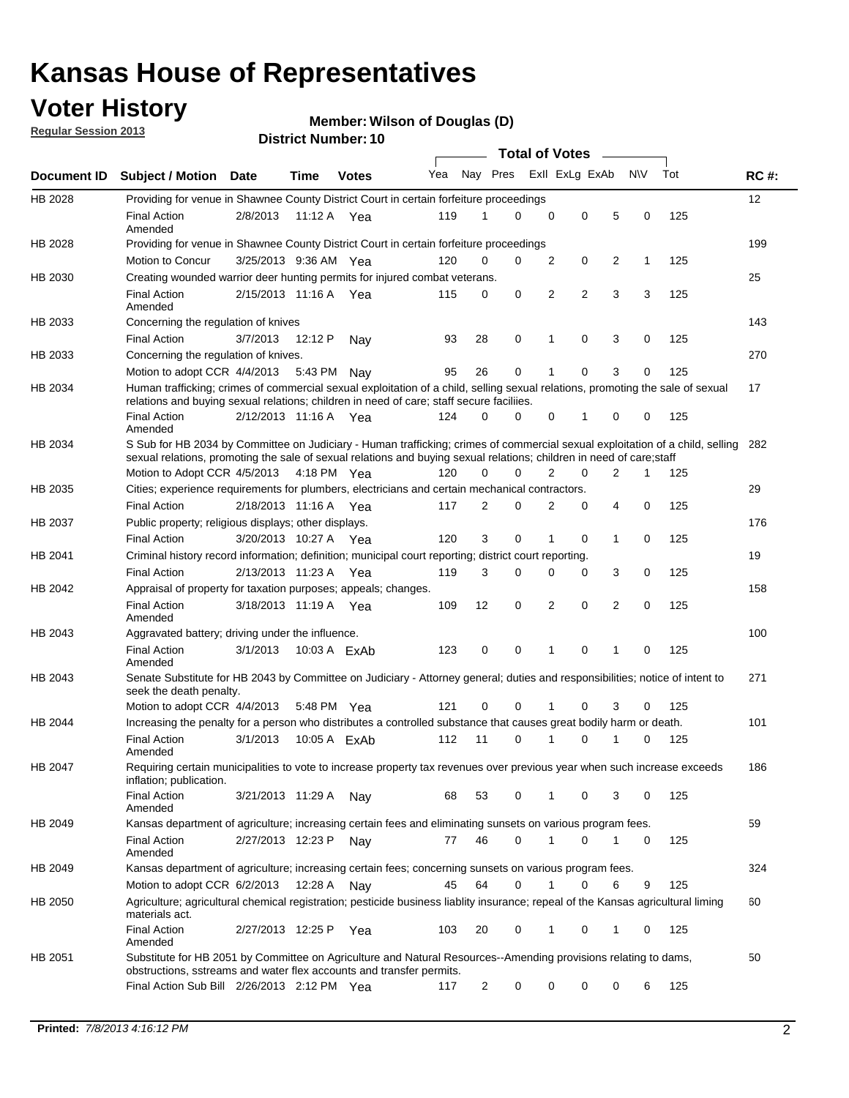## **Voter History**

**Regular Session 2013**

### **Member: Wilson of Douglas (D)**

|             |                                                                                                                                                                                                                                                        |                       |              |              |     |             | <b>Total of Votes</b> |                |                | $\sim$         |           |     |             |
|-------------|--------------------------------------------------------------------------------------------------------------------------------------------------------------------------------------------------------------------------------------------------------|-----------------------|--------------|--------------|-----|-------------|-----------------------|----------------|----------------|----------------|-----------|-----|-------------|
| Document ID | <b>Subject / Motion Date</b>                                                                                                                                                                                                                           |                       | <b>Time</b>  | <b>Votes</b> | Yea | Nay Pres    |                       |                | Exll ExLg ExAb |                | <b>NV</b> | Tot | <b>RC#:</b> |
| HB 2028     | Providing for venue in Shawnee County District Court in certain forfeiture proceedings                                                                                                                                                                 |                       |              |              |     |             |                       |                |                |                |           |     | 12          |
|             | <b>Final Action</b><br>Amended                                                                                                                                                                                                                         | 2/8/2013              | 11:12 A Yea  |              | 119 | 1           | $\Omega$              | $\mathbf 0$    | $\mathbf 0$    | 5              | 0         | 125 |             |
| HB 2028     | Providing for venue in Shawnee County District Court in certain forfeiture proceedings                                                                                                                                                                 |                       |              |              |     |             |                       |                |                |                |           |     | 199         |
|             | Motion to Concur                                                                                                                                                                                                                                       | 3/25/2013 9:36 AM Yea |              |              | 120 | 0           | 0                     | 2              | 0              | 2              | 1         | 125 |             |
| HB 2030     | Creating wounded warrior deer hunting permits for injured combat veterans.                                                                                                                                                                             |                       |              |              |     |             |                       |                |                |                |           |     | 25          |
|             | <b>Final Action</b><br>Amended                                                                                                                                                                                                                         | 2/15/2013 11:16 A     |              | Yea          | 115 | 0           | 0                     | $\overline{2}$ | 2              | 3              | 3         | 125 |             |
| HB 2033     | Concerning the regulation of knives                                                                                                                                                                                                                    |                       |              |              |     |             |                       |                |                |                |           |     | 143         |
|             | <b>Final Action</b>                                                                                                                                                                                                                                    | 3/7/2013              | 12:12 P      | Nav          | 93  | 28          | 0                     | 1              | 0              | 3              | 0         | 125 |             |
| HB 2033     | Concerning the regulation of knives.                                                                                                                                                                                                                   |                       |              |              |     |             |                       |                |                |                |           |     | 270         |
|             | Motion to adopt CCR 4/4/2013                                                                                                                                                                                                                           |                       | 5:43 PM      | Nav          | 95  | 26          | 0                     |                | 0              | 3              | 0         | 125 |             |
| HB 2034     | Human trafficking; crimes of commercial sexual exploitation of a child, selling sexual relations, promoting the sale of sexual<br>relations and buying sexual relations; children in need of care; staff secure faciliies.                             |                       |              |              |     |             |                       |                |                |                |           |     | 17          |
|             | <b>Final Action</b><br>Amended                                                                                                                                                                                                                         | 2/12/2013 11:16 A Yea |              |              | 124 | $\Omega$    | 0                     | 0              | 1              | 0              | 0         | 125 |             |
| HB 2034     | S Sub for HB 2034 by Committee on Judiciary - Human trafficking; crimes of commercial sexual exploitation of a child, selling<br>sexual relations, promoting the sale of sexual relations and buying sexual relations; children in need of care; staff |                       |              |              |     |             |                       |                |                |                |           |     | 282         |
|             | Motion to Adopt CCR 4/5/2013 4:18 PM Yea                                                                                                                                                                                                               |                       |              |              | 120 | $\mathbf 0$ | 0                     | $\overline{2}$ | $\mathbf 0$    | $\overline{2}$ | 1         | 125 |             |
| HB 2035     | Cities; experience requirements for plumbers, electricians and certain mechanical contractors.                                                                                                                                                         |                       |              |              |     |             |                       |                |                |                |           |     | 29          |
|             | <b>Final Action</b>                                                                                                                                                                                                                                    | 2/18/2013 11:16 A     |              | Yea          | 117 | 2           | 0                     | 2              | 0              | 4              | 0         | 125 |             |
| HB 2037     | Public property; religious displays; other displays.                                                                                                                                                                                                   |                       |              |              |     |             |                       |                |                |                |           |     | 176         |
|             | <b>Final Action</b>                                                                                                                                                                                                                                    | 3/20/2013 10:27 A     |              | Yea          | 120 | 3           | $\mathbf 0$           | 1              | 0              | 1              | 0         | 125 |             |
| HB 2041     | Criminal history record information; definition; municipal court reporting; district court reporting.                                                                                                                                                  |                       |              |              |     |             |                       |                |                |                |           |     | 19          |
|             | <b>Final Action</b>                                                                                                                                                                                                                                    | 2/13/2013 11:23 A     |              | Yea          | 119 | 3           | 0                     | 0              | 0              | 3              | 0         | 125 |             |
| HB 2042     | Appraisal of property for taxation purposes; appeals; changes.                                                                                                                                                                                         |                       |              |              |     |             |                       |                |                |                |           |     | 158         |
|             | <b>Final Action</b><br>Amended                                                                                                                                                                                                                         | 3/18/2013 11:19 A Yea |              |              | 109 | 12          | 0                     | $\overline{2}$ | 0              | 2              | 0         | 125 |             |
| HB 2043     | Aggravated battery; driving under the influence.                                                                                                                                                                                                       |                       |              |              |     |             |                       |                |                |                |           |     | 100         |
|             | <b>Final Action</b><br>Amended                                                                                                                                                                                                                         | 3/1/2013              | 10:03 A ExAb |              | 123 | 0           | 0                     | 1              | 0              | 1              | 0         | 125 |             |
| HB 2043     | Senate Substitute for HB 2043 by Committee on Judiciary - Attorney general; duties and responsibilities; notice of intent to<br>seek the death penalty.                                                                                                |                       |              |              |     |             |                       |                |                |                |           |     | 271         |
|             | Motion to adopt CCR 4/4/2013                                                                                                                                                                                                                           |                       | 5:48 PM Yea  |              | 121 | 0           | 0                     | 1              | 0              | 3              | 0         | 125 |             |
| HB 2044     | Increasing the penalty for a person who distributes a controlled substance that causes great bodily harm or death.                                                                                                                                     |                       |              |              |     |             |                       |                |                |                |           |     | 101         |
|             | <b>Final Action</b><br>Amended                                                                                                                                                                                                                         | 3/1/2013              | 10:05 A ExAb |              | 112 | 11          | $\Omega$              | 1              | 0              | 1              | 0         | 125 |             |
| HB 2047     | Requiring certain municipalities to vote to increase property tax revenues over previous year when such increase exceeds<br>inflation; publication.                                                                                                    |                       |              |              |     |             |                       |                |                |                |           |     | 186         |
|             | <b>Final Action</b><br>Amended                                                                                                                                                                                                                         | 3/21/2013 11:29 A     |              | Nay          | 68  | 53          | 0                     | 1              | 0              | 3              | 0         | 125 |             |
| HB 2049     | Kansas department of agriculture; increasing certain fees and eliminating sunsets on various program fees.                                                                                                                                             |                       |              |              |     |             |                       |                |                |                |           |     | 59          |
|             | <b>Final Action</b><br>Amended                                                                                                                                                                                                                         | 2/27/2013 12:23 P     |              | Nav          | 77  | 46          | 0                     | 1              | 0              | 1              | 0         | 125 |             |
| HB 2049     | Kansas department of agriculture; increasing certain fees; concerning sunsets on various program fees.                                                                                                                                                 |                       |              |              |     |             |                       |                |                |                |           |     | 324         |
|             | Motion to adopt CCR 6/2/2013                                                                                                                                                                                                                           |                       | 12:28 A      | Nav          | 45  | 64          | 0                     | 1              | 0              | 6              | 9         | 125 |             |
| HB 2050     | Agriculture; agricultural chemical registration; pesticide business liablity insurance; repeal of the Kansas agricultural liming<br>materials act.                                                                                                     |                       |              |              |     |             |                       |                |                |                |           |     | 60          |
|             | <b>Final Action</b><br>Amended                                                                                                                                                                                                                         | 2/27/2013 12:25 P     |              | Yea          | 103 | 20          | 0                     | 1              | 0              | 1              | 0         | 125 |             |
| HB 2051     | Substitute for HB 2051 by Committee on Agriculture and Natural Resources--Amending provisions relating to dams,<br>obstructions, sstreams and water flex accounts and transfer permits.                                                                |                       |              |              |     |             |                       |                |                |                |           |     | 50          |
|             | Final Action Sub Bill 2/26/2013 2:12 PM Yea                                                                                                                                                                                                            |                       |              |              | 117 | 2           | 0                     | 0              | 0              | 0              | 6         | 125 |             |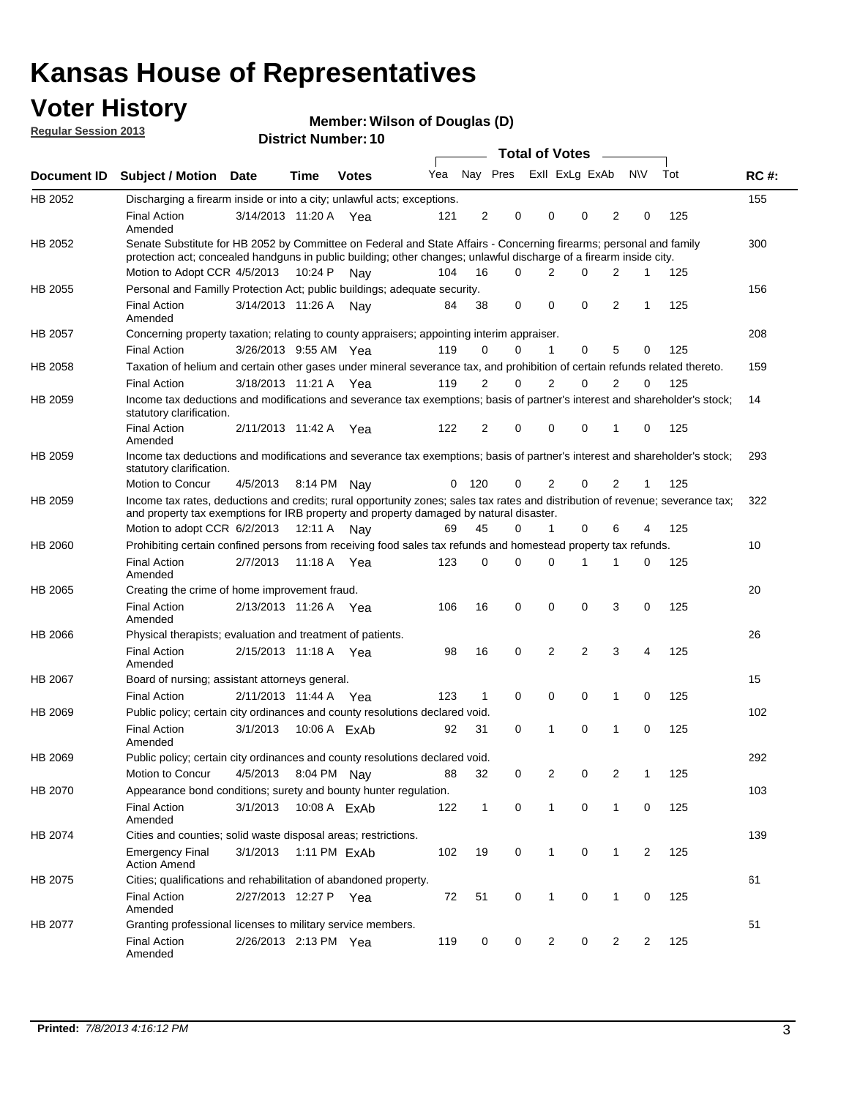## **Voter History**

**Member: Wilson of Douglas (D)** 

**Regular Session 2013**

|                |                                                                                                                                                                                                                                          |                       |         | ו הסעוווטנו ועווווטכו |     |                |                             | <b>Total of Votes</b> |          |                |           |     |             |
|----------------|------------------------------------------------------------------------------------------------------------------------------------------------------------------------------------------------------------------------------------------|-----------------------|---------|-----------------------|-----|----------------|-----------------------------|-----------------------|----------|----------------|-----------|-----|-------------|
| Document ID    | <b>Subject / Motion</b>                                                                                                                                                                                                                  | Date                  | Time    | <b>Votes</b>          |     |                | Yea Nay Pres ExII ExLg ExAb |                       |          |                | <b>NV</b> | Tot | <b>RC#:</b> |
| HB 2052        | Discharging a firearm inside or into a city; unlawful acts; exceptions.                                                                                                                                                                  |                       |         |                       |     |                |                             |                       |          |                |           |     | 155         |
|                | <b>Final Action</b><br>Amended                                                                                                                                                                                                           | 3/14/2013 11:20 A Yea |         |                       | 121 | 2              | 0                           | 0                     | $\Omega$ | 2              | 0         | 125 |             |
| HB 2052        | Senate Substitute for HB 2052 by Committee on Federal and State Affairs - Concerning firearms; personal and family<br>protection act; concealed handguns in public building; other changes; unlawful discharge of a firearm inside city. |                       |         |                       |     |                |                             |                       |          |                |           |     | 300         |
|                | Motion to Adopt CCR 4/5/2013                                                                                                                                                                                                             |                       | 10:24 P | Nav                   | 104 | 16             | 0                           | 2                     | $\Omega$ | 2              | 1         | 125 |             |
| HB 2055        | Personal and Familly Protection Act; public buildings; adequate security.                                                                                                                                                                |                       |         |                       |     |                |                             |                       |          |                |           |     | 156         |
|                | <b>Final Action</b><br>Amended                                                                                                                                                                                                           | 3/14/2013 11:26 A     |         | Nav                   | 84  | 38             | 0                           | 0                     | 0        | $\overline{2}$ | 1         | 125 |             |
| HB 2057        | Concerning property taxation; relating to county appraisers; appointing interim appraiser.                                                                                                                                               |                       |         |                       |     |                |                             |                       |          |                |           |     | 208         |
|                | <b>Final Action</b>                                                                                                                                                                                                                      | 3/26/2013 9:55 AM Yea |         |                       | 119 | 0              | 0                           | 1                     | 0        | 5              | 0         | 125 |             |
| HB 2058        | Taxation of helium and certain other gases under mineral severance tax, and prohibition of certain refunds related thereto.                                                                                                              |                       |         |                       |     |                |                             |                       |          |                |           |     | 159         |
|                | <b>Final Action</b>                                                                                                                                                                                                                      | 3/18/2013 11:21 A Yea |         |                       | 119 | 2              | 0                           | 2                     | $\Omega$ | $\overline{2}$ | $\Omega$  | 125 |             |
| HB 2059        | Income tax deductions and modifications and severance tax exemptions; basis of partner's interest and shareholder's stock;<br>statutory clarification.                                                                                   |                       |         |                       |     |                |                             |                       |          |                |           |     | 14          |
|                | <b>Final Action</b><br>Amended                                                                                                                                                                                                           | 2/11/2013 11:42 A     |         | Yea                   | 122 | $\overline{2}$ | 0                           | 0                     | 0        | 1              | 0         | 125 |             |
| HB 2059        | Income tax deductions and modifications and severance tax exemptions; basis of partner's interest and shareholder's stock;<br>statutory clarification.                                                                                   |                       |         |                       |     |                |                             |                       |          |                |           |     | 293         |
|                | Motion to Concur                                                                                                                                                                                                                         | 4/5/2013              |         | 8:14 PM Nay           | 0   | 120            | 0                           | $\overline{2}$        | 0        | $\overline{2}$ | 1         | 125 |             |
| HB 2059        | Income tax rates, deductions and credits; rural opportunity zones; sales tax rates and distribution of revenue; severance tax;<br>and property tax exemptions for IRB property and property damaged by natural disaster.                 |                       |         |                       |     |                |                             |                       |          |                |           |     | 322         |
|                | Motion to adopt CCR 6/2/2013                                                                                                                                                                                                             |                       | 12:11 A | Nav                   | 69  | 45             | 0                           | $\mathbf{1}$          | 0        | 6              | 4         | 125 |             |
| <b>HB 2060</b> | Prohibiting certain confined persons from receiving food sales tax refunds and homestead property tax refunds.                                                                                                                           |                       |         |                       |     |                |                             |                       |          |                |           |     | 10          |
|                | <b>Final Action</b><br>Amended                                                                                                                                                                                                           | 2/7/2013              | 11:18 A | Yea                   | 123 | $\mathbf 0$    | 0                           | 0                     | 1        | 1              | 0         | 125 |             |
| HB 2065        | Creating the crime of home improvement fraud.                                                                                                                                                                                            |                       |         |                       |     |                |                             |                       |          |                |           |     | 20          |
|                | <b>Final Action</b><br>Amended                                                                                                                                                                                                           | 2/13/2013 11:26 A Yea |         |                       | 106 | 16             | 0                           | 0                     | 0        | 3              | 0         | 125 |             |
| HB 2066        | Physical therapists; evaluation and treatment of patients.                                                                                                                                                                               |                       |         |                       |     |                |                             |                       |          |                |           |     | 26          |
|                | <b>Final Action</b><br>Amended                                                                                                                                                                                                           | 2/15/2013 11:18 A Yea |         |                       | 98  | 16             | $\mathbf 0$                 | $\overline{2}$        | 2        | 3              | 4         | 125 |             |
| HB 2067        | Board of nursing; assistant attorneys general.                                                                                                                                                                                           |                       |         |                       |     |                |                             |                       |          |                |           |     | 15          |
|                | <b>Final Action</b>                                                                                                                                                                                                                      | 2/11/2013 11:44 A Yea |         |                       | 123 | $\mathbf{1}$   | 0                           | 0                     | 0        | 1              | 0         | 125 |             |
| HB 2069        | Public policy; certain city ordinances and county resolutions declared void.                                                                                                                                                             |                       |         |                       |     |                |                             |                       |          |                |           |     | 102         |
|                | <b>Final Action</b><br>Amended                                                                                                                                                                                                           | 3/1/2013              |         | 10:06 A FxAb          | 92  | 31             | $\Omega$                    | 1                     | 0        | 1              | 0         | 125 |             |
| HB 2069        | Public policy; certain city ordinances and county resolutions declared void.                                                                                                                                                             |                       |         |                       |     |                |                             |                       |          |                |           |     | 292         |
|                | Motion to Concur                                                                                                                                                                                                                         | 4/5/2013              |         | 8:04 PM Nay           | 88  | 32             | 0                           | 2                     | 0        | 2              | 1         | 125 |             |
| HB 2070        | Appearance bond conditions; surety and bounty hunter regulation.                                                                                                                                                                         |                       |         |                       |     |                |                             |                       |          |                |           |     | 103         |
|                | <b>Final Action</b><br>Amended                                                                                                                                                                                                           | 3/1/2013              |         | 10:08 A ExAb          | 122 | $\mathbf{1}$   | 0                           | $\mathbf{1}$          | 0        | $\mathbf{1}$   | 0         | 125 |             |
| HB 2074        | Cities and counties; solid waste disposal areas; restrictions.                                                                                                                                                                           |                       |         |                       |     |                |                             |                       |          |                |           |     | 139         |
|                | <b>Emergency Final</b><br><b>Action Amend</b>                                                                                                                                                                                            | 3/1/2013              |         | 1:11 PM ExAb          | 102 | 19             | 0                           | 1                     | 0        | $\mathbf{1}$   | 2         | 125 |             |
| HB 2075        | Cities; qualifications and rehabilitation of abandoned property.                                                                                                                                                                         |                       |         |                       |     |                |                             |                       |          |                |           |     | 61          |
|                | <b>Final Action</b><br>Amended                                                                                                                                                                                                           | 2/27/2013 12:27 P Yea |         |                       | 72  | 51             | 0                           | 1                     | 0        | 1              | 0         | 125 |             |
| HB 2077        | Granting professional licenses to military service members.<br><b>Final Action</b><br>Amended                                                                                                                                            | 2/26/2013 2:13 PM Yea |         |                       | 119 | 0              | 0                           | 2                     | 0        | 2              | 2         | 125 | 51          |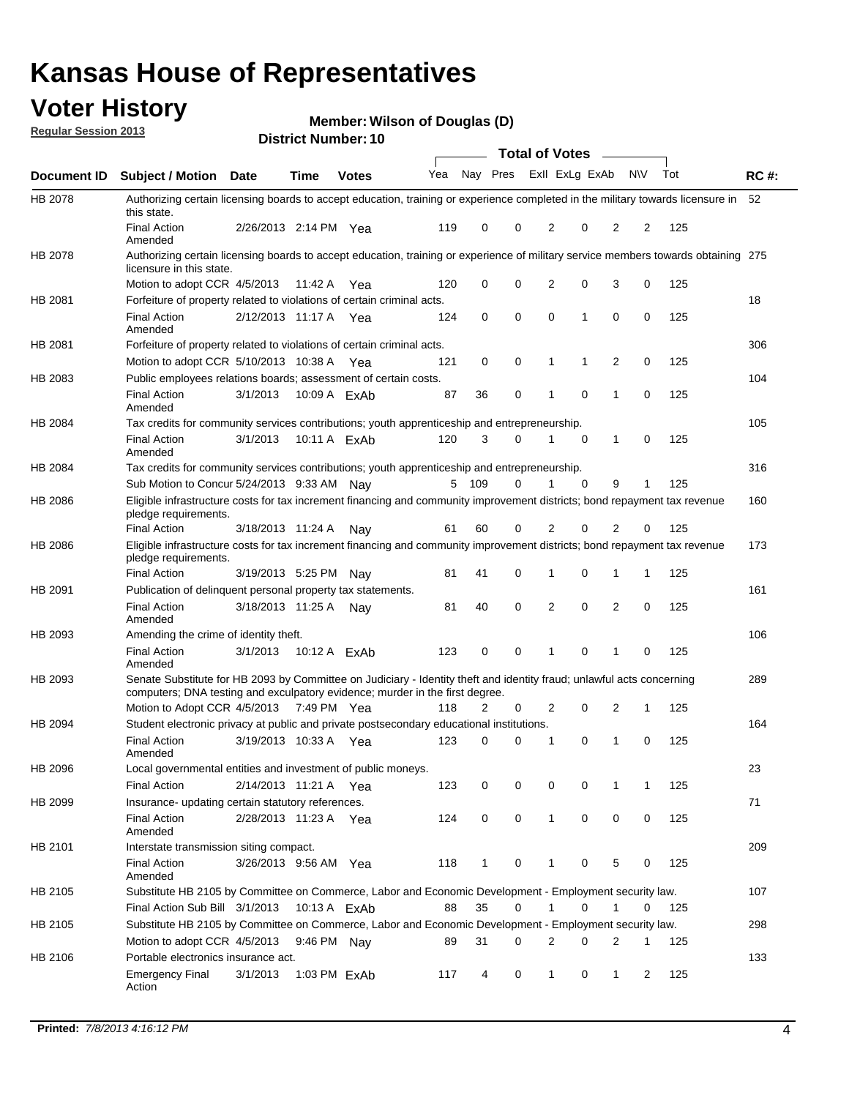## **Voter History**

**Member: Wilson of Douglas (D)** 

**Regular Session 2013**

|             |                                                                                                                                                                                                       |                       |              | ו וסמווטג ועמוווט <del>כ</del> ו |     |              |             | <b>Total of Votes</b> |             | $\sim$         |           |     |             |
|-------------|-------------------------------------------------------------------------------------------------------------------------------------------------------------------------------------------------------|-----------------------|--------------|----------------------------------|-----|--------------|-------------|-----------------------|-------------|----------------|-----------|-----|-------------|
| Document ID | <b>Subject / Motion Date</b>                                                                                                                                                                          |                       | <b>Time</b>  | <b>Votes</b>                     | Yea | Nay Pres     |             | Exll ExLg ExAb        |             |                | <b>NV</b> | Tot | <b>RC#:</b> |
| HB 2078     | Authorizing certain licensing boards to accept education, training or experience completed in the military towards licensure in<br>this state.                                                        |                       |              |                                  |     |              |             |                       |             |                |           |     | 52          |
|             | <b>Final Action</b><br>Amended                                                                                                                                                                        | 2/26/2013 2:14 PM Yea |              |                                  | 119 | 0            | 0           | 2                     | 0           | $\overline{2}$ | 2         | 125 |             |
| HB 2078     | Authorizing certain licensing boards to accept education, training or experience of military service members towards obtaining 275<br>licensure in this state.                                        |                       |              |                                  |     |              |             |                       |             |                |           |     |             |
|             | Motion to adopt CCR 4/5/2013                                                                                                                                                                          |                       | 11:42 A      | Yea                              | 120 | 0            | $\mathbf 0$ | $\overline{2}$        | 0           | 3              | 0         | 125 |             |
| HB 2081     | Forfeiture of property related to violations of certain criminal acts.                                                                                                                                |                       |              |                                  |     |              |             |                       |             |                |           |     | 18          |
|             | <b>Final Action</b><br>Amended                                                                                                                                                                        | 2/12/2013 11:17 A Yea |              |                                  | 124 | 0            | 0           | $\Omega$              | 1           | 0              | 0         | 125 |             |
| HB 2081     | Forfeiture of property related to violations of certain criminal acts.                                                                                                                                |                       |              |                                  |     |              |             |                       |             |                |           |     | 306         |
|             | Motion to adopt CCR 5/10/2013 10:38 A                                                                                                                                                                 |                       |              | Yea                              | 121 | 0            | 0           | 1                     | 1           | 2              | 0         | 125 |             |
| HB 2083     | Public employees relations boards; assessment of certain costs.                                                                                                                                       |                       |              |                                  |     |              |             |                       |             |                |           |     | 104         |
|             | <b>Final Action</b><br>Amended                                                                                                                                                                        | 3/1/2013              |              | 10:09 A ExAb                     | 87  | 36           | 0           | 1                     | 0           | 1              | 0         | 125 |             |
| HB 2084     | Tax credits for community services contributions; youth apprenticeship and entrepreneurship.                                                                                                          |                       |              |                                  |     |              |             |                       |             |                |           |     | 105         |
|             | <b>Final Action</b><br>Amended                                                                                                                                                                        | 3/1/2013              |              | 10:11 A ExAb                     | 120 | 3            | 0           | 1                     | $\mathbf 0$ | $\mathbf{1}$   | 0         | 125 |             |
| HB 2084     | Tax credits for community services contributions; youth apprenticeship and entrepreneurship.                                                                                                          |                       |              |                                  |     |              |             |                       |             |                |           |     | 316         |
|             | Sub Motion to Concur 5/24/2013 9:33 AM Nav                                                                                                                                                            |                       |              |                                  | 5   | - 109        | 0           | 1                     | 0           | 9              | 1         | 125 |             |
| HB 2086     | Eligible infrastructure costs for tax increment financing and community improvement districts; bond repayment tax revenue<br>pledge requirements.                                                     |                       |              |                                  |     |              |             |                       |             |                |           |     | 160         |
|             | <b>Final Action</b>                                                                                                                                                                                   | 3/18/2013 11:24 A     |              | Nay                              | 61  | 60           | 0           | 2                     | 0           | 2              | 0         | 125 |             |
| HB 2086     | Eligible infrastructure costs for tax increment financing and community improvement districts; bond repayment tax revenue<br>pledge requirements.                                                     |                       |              |                                  |     |              |             |                       |             |                |           |     | 173         |
|             | <b>Final Action</b>                                                                                                                                                                                   | 3/19/2013 5:25 PM     |              | Nav                              | 81  | 41           | 0           | 1                     | 0           | 1              | 1         | 125 |             |
| HB 2091     | Publication of delinquent personal property tax statements.                                                                                                                                           |                       |              |                                  |     |              |             |                       |             |                |           |     | 161         |
|             | <b>Final Action</b><br>Amended                                                                                                                                                                        | 3/18/2013 11:25 A     |              | Nav                              | 81  | 40           | 0           | 2                     | 0           | $\overline{2}$ | 0         | 125 |             |
| HB 2093     | Amending the crime of identity theft.                                                                                                                                                                 |                       |              |                                  |     |              |             |                       |             |                |           |     | 106         |
|             | <b>Final Action</b><br>Amended                                                                                                                                                                        | 3/1/2013              | 10:12 A ExAb |                                  | 123 | 0            | $\Omega$    | 1                     | 0           | 1              | 0         | 125 |             |
| HB 2093     | Senate Substitute for HB 2093 by Committee on Judiciary - Identity theft and identity fraud; unlawful acts concerning<br>computers; DNA testing and exculpatory evidence; murder in the first degree. |                       |              |                                  |     |              |             |                       |             |                |           |     | 289         |
|             | Motion to Adopt CCR 4/5/2013 7:49 PM Yea                                                                                                                                                              |                       |              |                                  | 118 | 2            | 0           | 2                     | 0           | 2              | 1         | 125 |             |
| HB 2094     | Student electronic privacy at public and private postsecondary educational institutions.                                                                                                              |                       |              |                                  |     |              |             |                       |             |                |           |     | 164         |
|             | <b>Final Action</b><br>Amended                                                                                                                                                                        | 3/19/2013 10:33 A     |              | Yea                              | 123 | 0            | 0           | 1                     | 0           | 1              | 0         | 125 |             |
| HB 2096     | Local governmental entities and investment of public moneys.                                                                                                                                          |                       |              |                                  |     |              |             |                       |             |                |           |     | 23          |
|             | <b>Final Action</b>                                                                                                                                                                                   | 2/14/2013 11:21 A     |              | Yea                              | 123 | 0            | 0           | 0                     | 0           | 1              | 1         | 125 |             |
| HB 2099     | Insurance- updating certain statutory references.                                                                                                                                                     |                       |              |                                  |     |              |             |                       |             |                |           |     | 71          |
|             | <b>Final Action</b><br>Amended                                                                                                                                                                        | 2/28/2013 11:23 A     |              | Yea                              | 124 | 0            | 0           | 1                     | 0           | 0              | 0         | 125 |             |
| HB 2101     | Interstate transmission siting compact.                                                                                                                                                               |                       |              |                                  |     |              |             |                       |             |                |           |     | 209         |
|             | <b>Final Action</b><br>Amended                                                                                                                                                                        | 3/26/2013 9:56 AM Yea |              |                                  | 118 | $\mathbf{1}$ | 0           | 1                     | 0           | 5              | 0         | 125 |             |
| HB 2105     | Substitute HB 2105 by Committee on Commerce, Labor and Economic Development - Employment security law.                                                                                                |                       |              |                                  |     |              |             |                       |             |                |           |     | 107         |
|             | Final Action Sub Bill 3/1/2013                                                                                                                                                                        |                       | 10:13 A ExAb |                                  | 88  | 35           | 0           |                       | 0           | 1              | 0         | 125 |             |
| HB 2105     | Substitute HB 2105 by Committee on Commerce, Labor and Economic Development - Employment security law.                                                                                                |                       |              |                                  |     |              |             |                       |             |                |           |     | 298         |
|             | Motion to adopt CCR 4/5/2013                                                                                                                                                                          |                       | 9:46 PM Nay  |                                  | 89  | 31           | 0           | 2                     | 0           | 2              | 1         | 125 |             |
|             |                                                                                                                                                                                                       |                       |              |                                  |     |              |             |                       |             |                |           |     |             |
| HB 2106     | Portable electronics insurance act.                                                                                                                                                                   |                       |              |                                  |     |              |             |                       |             |                |           |     | 133         |
|             | <b>Emergency Final</b><br>Action                                                                                                                                                                      | 3/1/2013              |              | 1:03 PM ExAb                     | 117 | 4            | 0           | $\mathbf{1}$          | 0           | $\mathbf{1}$   | 2         | 125 |             |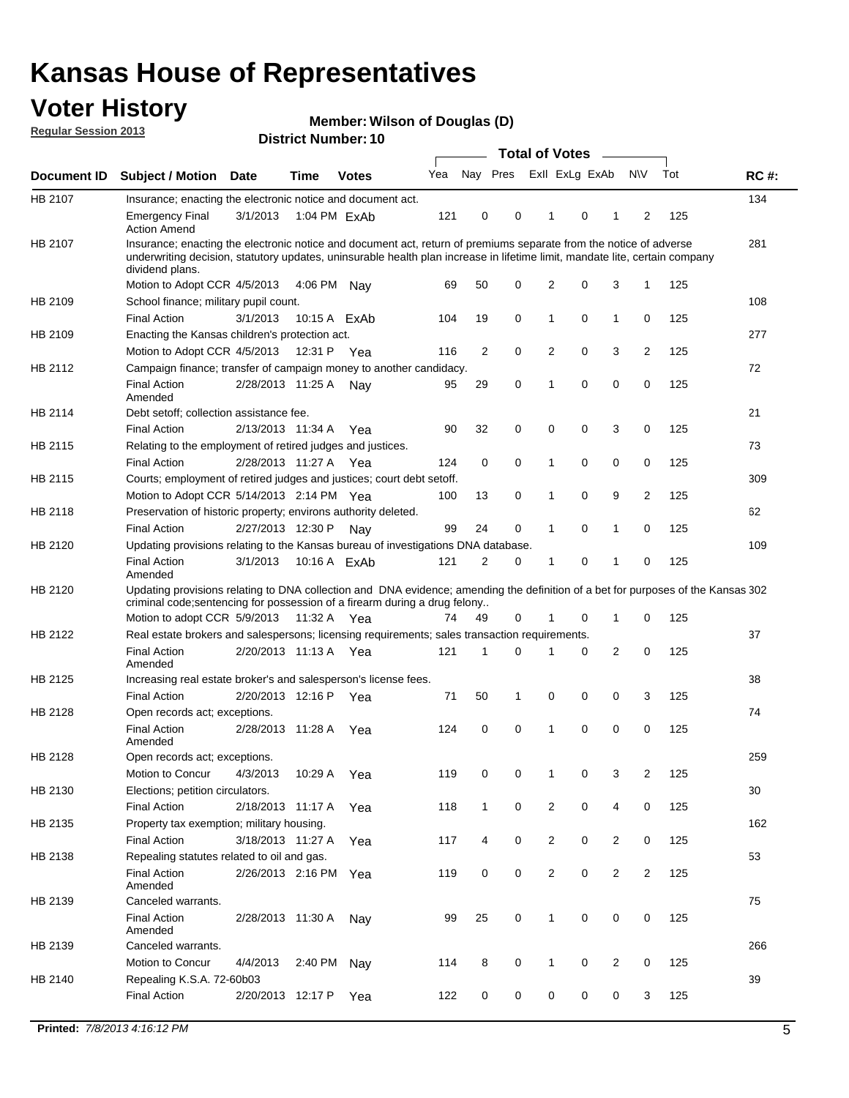## **Voter History**

**Member: Wilson of Douglas (D)** 

**Regular Session 2013**

|             |                                                                                                                                                                                                                                                                      |                       |              |              |     |              |   | <b>Total of Votes</b>   |   | $\sim$         |                |     |             |
|-------------|----------------------------------------------------------------------------------------------------------------------------------------------------------------------------------------------------------------------------------------------------------------------|-----------------------|--------------|--------------|-----|--------------|---|-------------------------|---|----------------|----------------|-----|-------------|
| Document ID | <b>Subject / Motion</b>                                                                                                                                                                                                                                              | Date                  | <b>Time</b>  | <b>Votes</b> | Yea |              |   | Nay Pres Exll ExLg ExAb |   |                | <b>NV</b>      | Tot | <b>RC#:</b> |
| HB 2107     | Insurance; enacting the electronic notice and document act.                                                                                                                                                                                                          |                       |              |              |     |              |   |                         |   |                |                |     | 134         |
|             | <b>Emergency Final</b><br><b>Action Amend</b>                                                                                                                                                                                                                        | 3/1/2013              | 1:04 PM ExAb |              | 121 | 0            | 0 | 1                       | 0 | 1              | 2              | 125 |             |
| HB 2107     | Insurance; enacting the electronic notice and document act, return of premiums separate from the notice of adverse<br>underwriting decision, statutory updates, uninsurable health plan increase in lifetime limit, mandate lite, certain company<br>dividend plans. |                       |              |              |     |              |   |                         |   |                |                |     | 281         |
|             | Motion to Adopt CCR 4/5/2013                                                                                                                                                                                                                                         |                       | 4:06 PM      | Nav          | 69  | 50           | 0 | $\overline{2}$          | 0 | 3              | 1              | 125 |             |
| HB 2109     | School finance; military pupil count.                                                                                                                                                                                                                                |                       |              |              |     |              |   |                         |   |                |                |     | 108         |
|             | <b>Final Action</b>                                                                                                                                                                                                                                                  | 3/1/2013              | 10:15 A ExAb |              | 104 | 19           | 0 | 1                       | 0 | $\mathbf{1}$   | 0              | 125 |             |
| HB 2109     | Enacting the Kansas children's protection act.                                                                                                                                                                                                                       |                       |              |              |     |              |   |                         |   |                |                |     | 277         |
|             | Motion to Adopt CCR 4/5/2013                                                                                                                                                                                                                                         |                       | 12:31 P Yea  |              | 116 | 2            | 0 | 2                       | 0 | 3              | 2              | 125 |             |
| HB 2112     | Campaign finance; transfer of campaign money to another candidacy.                                                                                                                                                                                                   |                       |              |              |     |              |   |                         |   |                |                |     | 72          |
|             | <b>Final Action</b><br>Amended                                                                                                                                                                                                                                       | 2/28/2013 11:25 A     |              | Nav          | 95  | 29           | 0 | 1                       | 0 | 0              | 0              | 125 |             |
| HB 2114     | Debt setoff: collection assistance fee.                                                                                                                                                                                                                              |                       |              |              |     |              |   |                         |   |                |                |     | 21          |
|             | <b>Final Action</b>                                                                                                                                                                                                                                                  | 2/13/2013 11:34 A     |              | Yea          | 90  | 32           | 0 | 0                       | 0 | 3              | 0              | 125 |             |
| HB 2115     | Relating to the employment of retired judges and justices.                                                                                                                                                                                                           |                       |              |              |     |              |   |                         |   |                |                |     | 73          |
|             | <b>Final Action</b>                                                                                                                                                                                                                                                  | 2/28/2013 11:27 A     |              | Yea          | 124 | 0            | 0 | 1                       | 0 | 0              | 0              | 125 |             |
| HB 2115     | Courts; employment of retired judges and justices; court debt setoff.                                                                                                                                                                                                |                       |              |              |     |              |   |                         |   |                |                |     | 309         |
|             | Motion to Adopt CCR 5/14/2013 2:14 PM Yea                                                                                                                                                                                                                            |                       |              |              | 100 | 13           | 0 | 1                       | 0 | 9              | 2              | 125 |             |
| HB 2118     | Preservation of historic property; environs authority deleted.                                                                                                                                                                                                       |                       |              |              |     |              |   |                         |   |                |                |     | 62          |
|             | <b>Final Action</b>                                                                                                                                                                                                                                                  | 2/27/2013 12:30 P     |              | Nay          | 99  | 24           | 0 |                         | 0 | 1              | 0              | 125 |             |
| HB 2120     | Updating provisions relating to the Kansas bureau of investigations DNA database.                                                                                                                                                                                    |                       |              |              |     |              |   |                         |   |                |                |     | 109         |
|             | <b>Final Action</b><br>Amended                                                                                                                                                                                                                                       | 3/1/2013              | 10:16 A ExAb |              | 121 | 2            | 0 | 1                       | 0 | 1              | 0              | 125 |             |
| HB 2120     | Updating provisions relating to DNA collection and DNA evidence; amending the definition of a bet for purposes of the Kansas 302<br>criminal code; sentencing for possession of a firearm during a drug felony                                                       |                       |              |              |     |              |   |                         |   |                |                |     |             |
|             | Motion to adopt CCR 5/9/2013                                                                                                                                                                                                                                         |                       | 11:32 A Yea  |              | 74  | 49           | 0 |                         | 0 | 1              | 0              | 125 |             |
| HB 2122     | Real estate brokers and salespersons; licensing requirements; sales transaction requirements.                                                                                                                                                                        |                       |              |              |     |              |   |                         |   |                |                |     | 37          |
|             | <b>Final Action</b><br>Amended                                                                                                                                                                                                                                       | 2/20/2013 11:13 A Yea |              |              | 121 | 1            | 0 |                         | 0 | $\overline{2}$ | 0              | 125 |             |
| HB 2125     | Increasing real estate broker's and salesperson's license fees.                                                                                                                                                                                                      |                       |              |              |     |              |   |                         |   |                |                |     | 38          |
|             | <b>Final Action</b>                                                                                                                                                                                                                                                  | 2/20/2013 12:16 P     |              | Yea          | 71  | 50           | 1 | 0                       | 0 | 0              | 3              | 125 |             |
| HB 2128     | Open records act; exceptions.                                                                                                                                                                                                                                        |                       |              |              |     |              |   |                         |   |                |                |     | 74          |
|             | <b>Final Action</b><br>Amended                                                                                                                                                                                                                                       | 2/28/2013 11:28 A     |              | Yea          | 124 | 0            | 0 | 1                       | 0 | 0              | 0              | 125 |             |
| HB 2128     | Open records act; exceptions.                                                                                                                                                                                                                                        |                       |              |              |     |              |   |                         |   |                |                |     | 259         |
|             | Motion to Concur                                                                                                                                                                                                                                                     | 4/3/2013              | 10:29 A      | Yea          | 119 | 0            | 0 |                         | 0 | 3              | $\overline{2}$ | 125 |             |
| HB 2130     | Elections; petition circulators.                                                                                                                                                                                                                                     |                       |              |              |     |              |   |                         |   |                |                |     | 30          |
|             | <b>Final Action</b>                                                                                                                                                                                                                                                  | 2/18/2013 11:17 A     |              | Yea          | 118 | $\mathbf{1}$ | 0 | $\overline{2}$          | 0 | 4              | 0              | 125 |             |
| HB 2135     | Property tax exemption; military housing.                                                                                                                                                                                                                            |                       |              |              |     |              |   |                         |   |                |                |     | 162         |
|             | <b>Final Action</b>                                                                                                                                                                                                                                                  | 3/18/2013 11:27 A     |              | Yea          | 117 | 4            | 0 | $\overline{c}$          | 0 | $\overline{2}$ | 0              | 125 |             |
| HB 2138     | Repealing statutes related to oil and gas.                                                                                                                                                                                                                           |                       |              |              |     |              |   |                         |   |                |                |     | 53          |
|             | <b>Final Action</b><br>Amended                                                                                                                                                                                                                                       | 2/26/2013 2:16 PM Yea |              |              | 119 | 0            | 0 | $\overline{2}$          | 0 | $\overline{2}$ | 2              | 125 |             |
| HB 2139     | Canceled warrants.                                                                                                                                                                                                                                                   |                       |              |              |     |              |   |                         |   |                |                |     | 75          |
|             | <b>Final Action</b><br>Amended                                                                                                                                                                                                                                       | 2/28/2013 11:30 A     |              | Nay          | 99  | 25           | 0 | $\mathbf{1}$            | 0 | 0              | 0              | 125 |             |
| HB 2139     | Canceled warrants.                                                                                                                                                                                                                                                   |                       |              |              |     |              |   |                         |   |                |                |     | 266         |
|             | Motion to Concur                                                                                                                                                                                                                                                     | 4/4/2013              | 2:40 PM      | Nay          | 114 | 8            | 0 | 1                       | 0 | $\overline{2}$ | 0              | 125 |             |
| HB 2140     | Repealing K.S.A. 72-60b03                                                                                                                                                                                                                                            |                       |              |              |     |              |   |                         |   |                |                |     | 39          |
|             | <b>Final Action</b>                                                                                                                                                                                                                                                  | 2/20/2013 12:17 P     |              | Yea          | 122 | 0            | 0 | 0                       | 0 | 0              | 3              | 125 |             |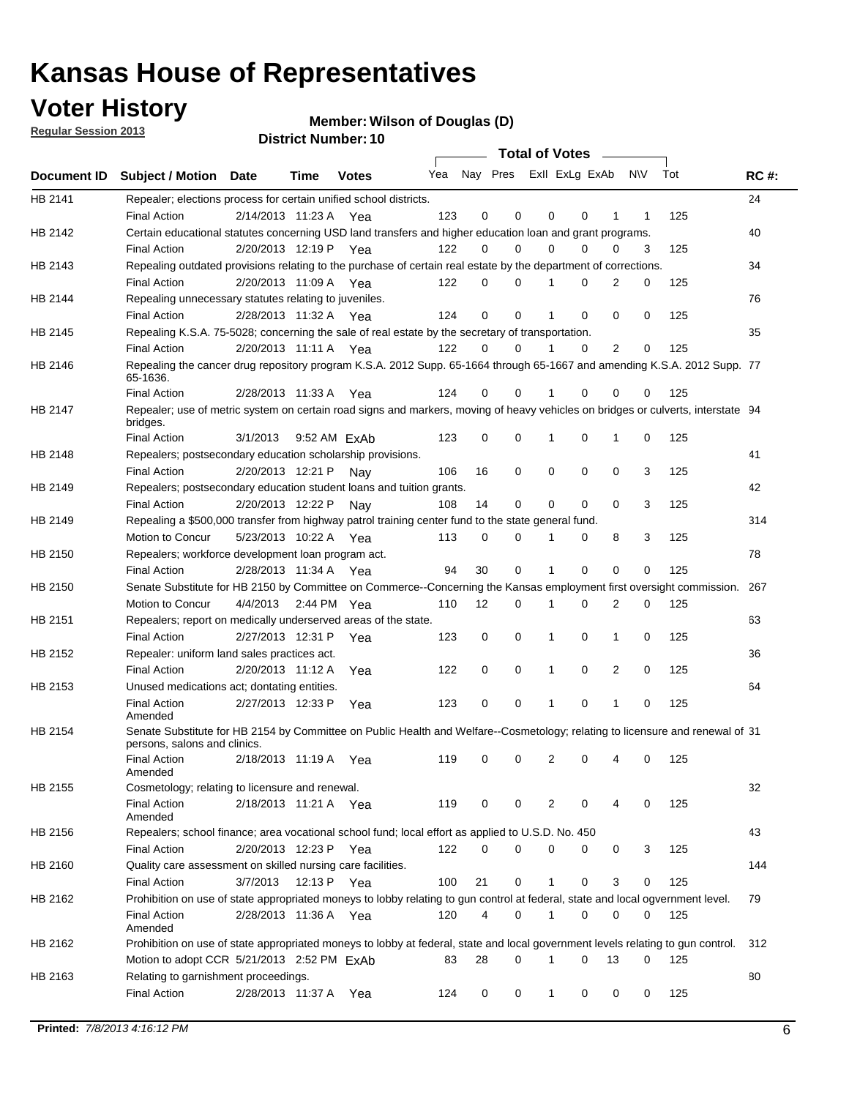## **Voter History**

**Member: Wilson of Douglas (D)** 

**Regular Session 2013**

|                |                                                                                                                                              |          |                       |              |                             |    | <b>Total of Votes</b> |              |          | $\sim$   |     |     |             |
|----------------|----------------------------------------------------------------------------------------------------------------------------------------------|----------|-----------------------|--------------|-----------------------------|----|-----------------------|--------------|----------|----------|-----|-----|-------------|
|                | Document ID Subject / Motion Date                                                                                                            |          | Time                  | <b>Votes</b> | Yea Nay Pres ExII ExLg ExAb |    |                       |              |          |          | N\V | Tot | <b>RC#:</b> |
| HB 2141        | Repealer; elections process for certain unified school districts.                                                                            |          |                       |              |                             |    |                       |              |          |          |     |     | 24          |
|                | <b>Final Action</b>                                                                                                                          |          | 2/14/2013 11:23 A     | Yea          | 123                         | 0  | 0                     | 0            | 0        | 1        | 1   | 125 |             |
| HB 2142        | Certain educational statutes concerning USD land transfers and higher education loan and grant programs.                                     |          |                       |              |                             |    |                       |              |          |          |     |     | 40          |
|                | <b>Final Action</b>                                                                                                                          |          | 2/20/2013 12:19 P     | Yea          | 122                         | 0  | 0                     | 0            | 0        | 0        | 3   | 125 |             |
| HB 2143        | Repealing outdated provisions relating to the purchase of certain real estate by the department of corrections.                              |          |                       |              |                             |    |                       |              |          |          |     |     | 34          |
|                | <b>Final Action</b>                                                                                                                          |          | 2/20/2013 11:09 A Yea |              | 122                         | 0  | 0                     |              | 0        | 2        | 0   | 125 |             |
| HB 2144        | Repealing unnecessary statutes relating to juveniles.                                                                                        |          |                       |              |                             |    |                       |              |          |          |     |     | 76          |
|                | <b>Final Action</b>                                                                                                                          |          | 2/28/2013 11:32 A Yea |              | 124                         | 0  | 0                     |              | 0        | 0        | 0   | 125 |             |
| <b>HB 2145</b> | Repealing K.S.A. 75-5028; concerning the sale of real estate by the secretary of transportation.                                             |          |                       |              |                             |    |                       |              |          |          |     |     | 35          |
|                | <b>Final Action</b>                                                                                                                          |          | 2/20/2013 11:11 A Yea |              | 122                         | 0  | 0                     |              | 0        | 2        | 0   | 125 |             |
| HB 2146        | Repealing the cancer drug repository program K.S.A. 2012 Supp. 65-1664 through 65-1667 and amending K.S.A. 2012 Supp. 77<br>65-1636.         |          |                       |              |                             |    |                       |              |          |          |     |     |             |
|                | <b>Final Action</b>                                                                                                                          |          | 2/28/2013 11:33 A     | Yea          | 124                         | 0  | 0                     |              | 0        | 0        | 0   | 125 |             |
| HB 2147        | Repealer; use of metric system on certain road signs and markers, moving of heavy vehicles on bridges or culverts, interstate 94<br>bridges. |          |                       |              |                             |    |                       |              |          |          |     |     |             |
|                | <b>Final Action</b>                                                                                                                          | 3/1/2013 |                       | 9:52 AM FxAb | 123                         | 0  | 0                     | 1            | 0        | 1        | 0   | 125 |             |
| HB 2148        | Repealers; postsecondary education scholarship provisions.                                                                                   |          |                       |              |                             |    |                       |              |          |          |     |     | 41          |
|                | <b>Final Action</b>                                                                                                                          |          | 2/20/2013 12:21 P     | Nav          | 106                         | 16 | 0                     | 0            | 0        | 0        | 3   | 125 |             |
| HB 2149        | Repealers; postsecondary education student loans and tuition grants.                                                                         |          |                       |              |                             |    |                       |              |          |          |     |     | 42          |
|                | <b>Final Action</b>                                                                                                                          |          | 2/20/2013 12:22 P     | Nav          | 108                         | 14 | 0                     | 0            | 0        | $\Omega$ | 3   | 125 |             |
| HB 2149        | Repealing a \$500,000 transfer from highway patrol training center fund to the state general fund.                                           |          |                       |              |                             |    |                       |              |          |          |     |     | 314         |
|                | Motion to Concur                                                                                                                             |          | 5/23/2013 10:22 A Yea |              | 113                         | 0  | 0                     |              | 0        | 8        | 3   | 125 |             |
| HB 2150        | Repealers; workforce development loan program act.                                                                                           |          |                       |              |                             |    |                       |              |          |          |     |     | 78          |
|                | <b>Final Action</b>                                                                                                                          |          | 2/28/2013 11:34 A Yea |              | 94                          | 30 | 0                     | 1            | 0        | 0        | 0   | 125 |             |
| HB 2150        | Senate Substitute for HB 2150 by Committee on Commerce--Concerning the Kansas employment first oversight commission.                         |          |                       |              |                             |    |                       |              |          |          |     |     | 267         |
|                | Motion to Concur                                                                                                                             | 4/4/2013 |                       | 2:44 PM Yea  | 110                         | 12 | 0                     | 1            | 0        | 2        | 0   | 125 |             |
| HB 2151        | Repealers; report on medically underserved areas of the state.                                                                               |          |                       |              |                             |    |                       |              |          |          |     |     | 63          |
|                | <b>Final Action</b>                                                                                                                          |          | 2/27/2013 12:31 P     | Yea          | 123                         | 0  | 0                     | 1            | 0        | 1        | 0   | 125 |             |
| HB 2152        | Repealer: uniform land sales practices act.                                                                                                  |          |                       |              |                             |    |                       |              |          |          |     |     | 36          |
|                | <b>Final Action</b>                                                                                                                          |          | 2/20/2013 11:12 A     | Yea          | 122                         | 0  | 0                     | 1            | 0        | 2        | 0   | 125 |             |
| HB 2153        | Unused medications act; dontating entities.                                                                                                  |          |                       |              |                             |    |                       |              |          |          |     |     | 64          |
|                | <b>Final Action</b><br>Amended                                                                                                               |          | 2/27/2013 12:33 P     | Yea          | 123                         | 0  | 0                     |              | 0        | 1        | 0   | 125 |             |
| HB 2154        | Senate Substitute for HB 2154 by Committee on Public Health and Welfare--Cosmetology; relating to licensure and renewal of 31                |          |                       |              |                             |    |                       |              |          |          |     |     |             |
|                | persons, salons and clinics.                                                                                                                 |          |                       |              |                             |    |                       |              |          |          |     |     |             |
|                | <b>Final Action</b><br>Amended                                                                                                               |          | 2/18/2013 11:19 A     | Yea          | 119                         | 0  | 0                     | 2            | 0        | 4        | 0   | 125 |             |
| HB 2155        | Cosmetology; relating to licensure and renewal.                                                                                              |          |                       |              |                             |    |                       |              |          |          |     |     | 32          |
|                | <b>Final Action</b><br>Amended                                                                                                               |          | 2/18/2013 11:21 A Yea |              | 119                         | 0  | 0                     | 2            | 0        | 4        | 0   | 125 |             |
| HB 2156        | Repealers; school finance; area vocational school fund; local effort as applied to U.S.D. No. 450                                            |          |                       |              |                             |    |                       |              |          |          |     |     | 43          |
|                | <b>Final Action</b>                                                                                                                          |          | 2/20/2013 12:23 P     | Yea          | 122                         | 0  | 0                     | 0            | 0        | 0        | 3   | 125 |             |
| HB 2160        | Quality care assessment on skilled nursing care facilities.                                                                                  |          |                       |              |                             |    |                       |              |          |          |     |     | 144         |
|                | <b>Final Action</b>                                                                                                                          | 3/7/2013 | 12:13 P               | Yea          | 100                         | 21 | 0                     | $\mathbf{1}$ | 0        | 3        | 0   | 125 |             |
| HB 2162        | Prohibition on use of state appropriated moneys to lobby relating to gun control at federal, state and local ogvernment level.               |          |                       |              |                             |    |                       |              |          |          |     |     | 79          |
|                | <b>Final Action</b>                                                                                                                          |          | 2/28/2013 11:36 A Yea |              | 120                         | 4  | 0                     | 1            | 0        | 0        | 0   | 125 |             |
|                | Amended                                                                                                                                      |          |                       |              |                             |    |                       |              |          |          |     |     |             |
| HB 2162        | Prohibition on use of state appropriated moneys to lobby at federal, state and local government levels relating to gun control.              |          |                       |              |                             |    |                       |              |          |          |     |     | 312         |
|                | Motion to adopt CCR 5/21/2013 2:52 PM ExAb                                                                                                   |          |                       |              | 83                          | 28 | 0                     | 1            | $\Omega$ | 13       | 0   | 125 |             |
| HB 2163        | Relating to garnishment proceedings.                                                                                                         |          |                       |              |                             |    |                       |              |          |          |     |     | 80          |
|                | <b>Final Action</b>                                                                                                                          |          | 2/28/2013 11:37 A Yea |              | 124                         | 0  | 0                     | $\mathbf{1}$ | 0        | 0        | 0   | 125 |             |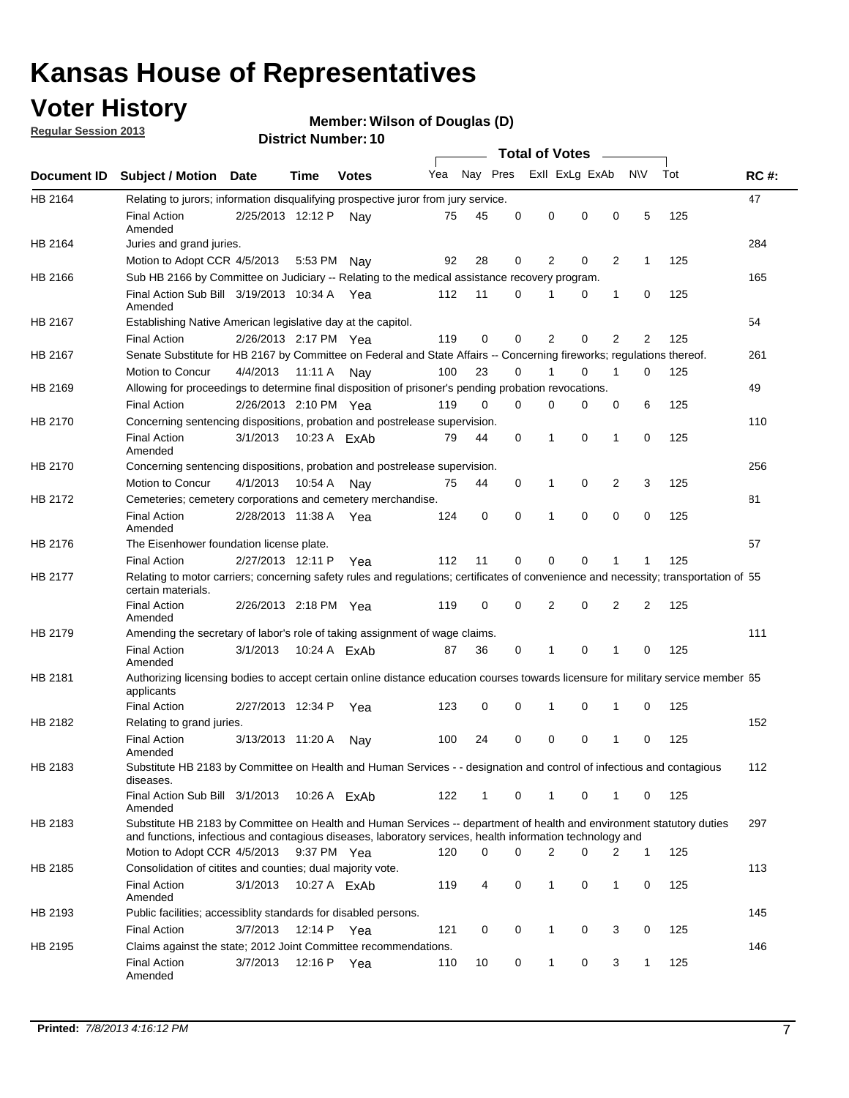## **Voter History**

**Member: Wilson of Douglas (D)** 

**Regular Session 2013**

|             |                                                                                                                                                                                                                                    |                       | ו הסעוווטנו וענוווט |              |     |          |          | <b>Total of Votes</b> |   | $\overline{\phantom{a}}$ |                |     |             |
|-------------|------------------------------------------------------------------------------------------------------------------------------------------------------------------------------------------------------------------------------------|-----------------------|---------------------|--------------|-----|----------|----------|-----------------------|---|--------------------------|----------------|-----|-------------|
| Document ID | <b>Subject / Motion Date</b>                                                                                                                                                                                                       |                       | Time                | <b>Votes</b> | Yea | Nay Pres |          | Exll ExLg ExAb        |   |                          | <b>NV</b>      | Tot | <b>RC#:</b> |
| HB 2164     | Relating to jurors; information disqualifying prospective juror from jury service.                                                                                                                                                 |                       |                     |              |     |          |          |                       |   |                          |                |     | 47          |
|             | <b>Final Action</b><br>Amended                                                                                                                                                                                                     | 2/25/2013 12:12 P     |                     | Nav          | 75  | 45       | 0        | 0                     | 0 | 0                        | 5              | 125 |             |
| HB 2164     | Juries and grand juries.                                                                                                                                                                                                           |                       |                     |              |     |          |          |                       |   |                          |                |     | 284         |
|             | Motion to Adopt CCR 4/5/2013                                                                                                                                                                                                       |                       | 5:53 PM             | Nav          | 92  | 28       | 0        | 2                     | 0 | $\overline{2}$           | 1              | 125 |             |
| HB 2166     | Sub HB 2166 by Committee on Judiciary -- Relating to the medical assistance recovery program.                                                                                                                                      |                       |                     |              |     |          |          |                       |   |                          |                |     | 165         |
|             | Final Action Sub Bill 3/19/2013 10:34 A Yea<br>Amended                                                                                                                                                                             |                       |                     |              | 112 | 11       | $\Omega$ |                       | 0 | 1                        | 0              | 125 |             |
| HB 2167     | Establishing Native American legislative day at the capitol.                                                                                                                                                                       |                       |                     |              |     |          |          |                       |   |                          |                |     | 54          |
|             | <b>Final Action</b>                                                                                                                                                                                                                | 2/26/2013 2:17 PM Yea |                     |              | 119 | 0        | $\Omega$ | 2                     | 0 | $\overline{2}$           | 2              | 125 |             |
| HB 2167     | Senate Substitute for HB 2167 by Committee on Federal and State Affairs -- Concerning fireworks; regulations thereof.                                                                                                              |                       |                     |              |     |          |          |                       |   |                          |                |     | 261         |
|             | Motion to Concur                                                                                                                                                                                                                   | 4/4/2013              | 11:11 A             | Nav          | 100 | 23       | 0        | 1                     | 0 | 1                        | 0              | 125 |             |
| HB 2169     | Allowing for proceedings to determine final disposition of prisoner's pending probation revocations.                                                                                                                               |                       |                     |              |     |          |          |                       |   |                          |                |     | 49          |
|             | <b>Final Action</b>                                                                                                                                                                                                                | 2/26/2013 2:10 PM Yea |                     |              | 119 | 0        | 0        | 0                     | 0 | 0                        | 6              | 125 |             |
| HB 2170     | Concerning sentencing dispositions, probation and postrelease supervision.                                                                                                                                                         |                       |                     |              |     |          |          |                       |   |                          |                |     | 110         |
|             | <b>Final Action</b><br>Amended                                                                                                                                                                                                     | 3/1/2013              | 10:23 A FxAb        |              | 79  | 44       | 0        | 1                     | 0 | 1                        | 0              | 125 |             |
| HB 2170     | Concerning sentencing dispositions, probation and postrelease supervision.                                                                                                                                                         |                       |                     |              |     |          |          |                       |   |                          |                |     | 256         |
|             | Motion to Concur                                                                                                                                                                                                                   | 4/1/2013              | 10:54 A             | Nay          | 75  | 44       | 0        | 1                     | 0 | $\overline{2}$           | 3              | 125 |             |
| HB 2172     | Cemeteries; cemetery corporations and cemetery merchandise.                                                                                                                                                                        |                       |                     |              |     |          |          |                       |   |                          |                |     | 81          |
|             | <b>Final Action</b><br>Amended                                                                                                                                                                                                     | 2/28/2013 11:38 A Yea |                     |              | 124 | 0        | 0        | 1                     | 0 | $\Omega$                 | 0              | 125 |             |
| HB 2176     | The Eisenhower foundation license plate.                                                                                                                                                                                           |                       |                     |              |     |          |          |                       |   |                          |                |     | 57          |
|             | <b>Final Action</b>                                                                                                                                                                                                                | 2/27/2013 12:11 P     |                     | Yea          | 112 | 11       | $\Omega$ | 0                     | 0 | 1                        | 1              | 125 |             |
| HB 2177     | Relating to motor carriers; concerning safety rules and regulations; certificates of convenience and necessity; transportation of 55<br>certain materials.                                                                         |                       |                     |              |     |          |          |                       |   |                          |                |     |             |
|             | <b>Final Action</b><br>Amended                                                                                                                                                                                                     | 2/26/2013 2:18 PM Yea |                     |              | 119 | 0        | $\Omega$ | 2                     | 0 | $\overline{2}$           | $\overline{2}$ | 125 |             |
| HB 2179     | Amending the secretary of labor's role of taking assignment of wage claims.                                                                                                                                                        |                       |                     |              |     |          |          |                       |   |                          |                |     | 111         |
|             | <b>Final Action</b><br>Amended                                                                                                                                                                                                     | 3/1/2013              | 10:24 A ExAb        |              | 87  | 36       | 0        | 1                     | 0 | 1                        | 0              | 125 |             |
| HB 2181     | Authorizing licensing bodies to accept certain online distance education courses towards licensure for military service member 55<br>applicants                                                                                    |                       |                     |              |     |          |          |                       |   |                          |                |     |             |
|             | <b>Final Action</b>                                                                                                                                                                                                                | 2/27/2013 12:34 P     |                     | Yea          | 123 | 0        | 0        |                       | 0 | 1                        | 0              | 125 |             |
| HB 2182     | Relating to grand juries.                                                                                                                                                                                                          |                       |                     |              |     |          |          |                       |   |                          |                |     | 152         |
|             | <b>Final Action</b><br>Amended                                                                                                                                                                                                     | 3/13/2013 11:20 A     |                     | Nav          | 100 | 24       | 0        | 0                     | 0 | 1                        | 0              | 125 |             |
| HB 2183     | Substitute HB 2183 by Committee on Health and Human Services - - designation and control of infectious and contagious<br>diseases.                                                                                                 |                       |                     |              |     |          |          |                       |   |                          |                |     | 112         |
|             | Final Action Sub Bill 3/1/2013<br>Amended                                                                                                                                                                                          |                       | 10:26 A ExAb        |              | 122 | 1        | 0        | 1                     | 0 | 1                        | 0              | 125 |             |
| HB 2183     | Substitute HB 2183 by Committee on Health and Human Services -- department of health and environment statutory duties<br>and functions, infectious and contagious diseases, laboratory services, health information technology and |                       |                     |              |     |          |          |                       |   |                          |                |     | 297         |
|             | Motion to Adopt CCR 4/5/2013                                                                                                                                                                                                       |                       | 9:37 PM Yea         |              | 120 | 0        | 0        | 2                     | 0 | 2                        | 1              | 125 |             |
| HB 2185     | Consolidation of citites and counties; dual majority vote.                                                                                                                                                                         |                       |                     |              |     |          |          |                       |   |                          |                |     | 113         |
|             | <b>Final Action</b><br>Amended                                                                                                                                                                                                     | 3/1/2013              | 10:27 A ExAb        |              | 119 | 4        | 0        | 1                     | 0 | $\mathbf{1}$             | 0              | 125 |             |
| HB 2193     | Public facilities; accessiblity standards for disabled persons.                                                                                                                                                                    |                       |                     |              |     |          |          |                       |   |                          |                |     | 145         |
|             | <b>Final Action</b>                                                                                                                                                                                                                | 3/7/2013              | 12:14 P             | Yea          | 121 | 0        | 0        | 1                     | 0 | 3                        | 0              | 125 |             |
| HB 2195     | Claims against the state; 2012 Joint Committee recommendations.                                                                                                                                                                    |                       |                     |              |     |          |          |                       |   |                          |                |     | 146         |
|             | <b>Final Action</b><br>Amended                                                                                                                                                                                                     | 3/7/2013              | 12:16 P Yea         |              | 110 | 10       | 0        | 1                     | 0 | 3                        | 1              | 125 |             |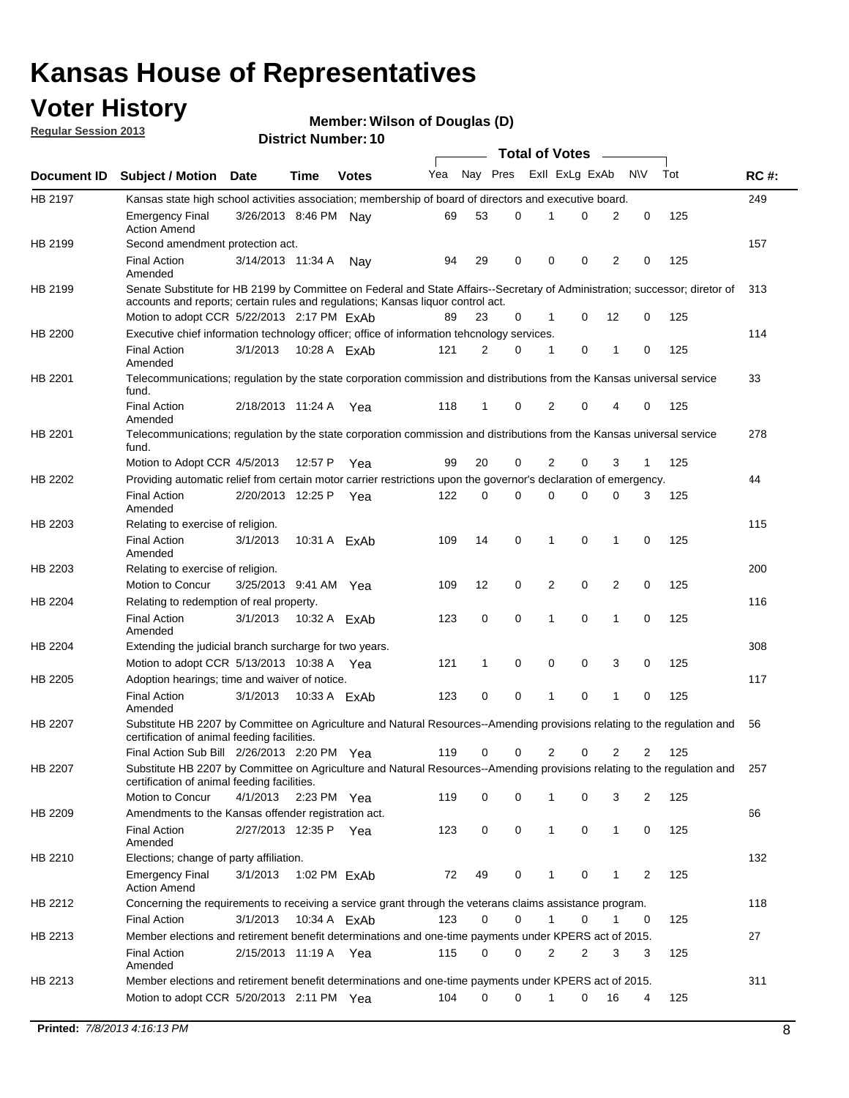## **Voter History**

**Member: Wilson of Douglas (D)** 

**Regular Session 2013**

|                |                                                                                                                                                                                                                |                       |             |              |     |             |          | <b>Total of Votes</b> |   |                |              |     |             |
|----------------|----------------------------------------------------------------------------------------------------------------------------------------------------------------------------------------------------------------|-----------------------|-------------|--------------|-----|-------------|----------|-----------------------|---|----------------|--------------|-----|-------------|
| Document ID    | <b>Subject / Motion Date</b>                                                                                                                                                                                   |                       | Time        | <b>Votes</b> | Yea | Nay Pres    |          | Exll ExLg ExAb        |   |                | <b>NV</b>    | Tot | <b>RC#:</b> |
| HB 2197        | Kansas state high school activities association; membership of board of directors and executive board.                                                                                                         |                       |             |              |     |             |          |                       |   |                |              |     | 249         |
|                | <b>Emergency Final</b><br><b>Action Amend</b>                                                                                                                                                                  | 3/26/2013 8:46 PM Nay |             |              | 69  | 53          | 0        |                       | 0 | 2              | 0            | 125 |             |
| HB 2199        | Second amendment protection act.                                                                                                                                                                               |                       |             |              |     |             |          |                       |   |                |              |     | 157         |
|                | <b>Final Action</b><br>Amended                                                                                                                                                                                 | 3/14/2013 11:34 A     |             | Nav          | 94  | 29          | 0        | 0                     | 0 | 2              | 0            | 125 |             |
| HB 2199        | Senate Substitute for HB 2199 by Committee on Federal and State Affairs--Secretary of Administration; successor; diretor of<br>accounts and reports; certain rules and regulations; Kansas liquor control act. |                       |             |              |     |             |          |                       |   |                |              |     | 313         |
|                | Motion to adopt CCR 5/22/2013 2:17 PM ExAb                                                                                                                                                                     |                       |             |              | 89  | 23          | 0        | 1                     | 0 | 12             | 0            | 125 |             |
| HB 2200        | Executive chief information technology officer; office of information tehcnology services.                                                                                                                     |                       |             |              |     |             |          |                       |   |                |              |     | 114         |
|                | <b>Final Action</b><br>Amended                                                                                                                                                                                 | 3/1/2013              |             | 10:28 A ExAb | 121 | 2           | 0        | 1                     | 0 | 1              | 0            | 125 |             |
| HB 2201        | Telecommunications; regulation by the state corporation commission and distributions from the Kansas universal service<br>fund.                                                                                |                       |             |              |     |             |          |                       |   |                |              |     | 33          |
|                | <b>Final Action</b><br>Amended                                                                                                                                                                                 | 2/18/2013 11:24 A     |             | Yea          | 118 | 1           | 0        | 2                     | 0 | 4              | 0            | 125 |             |
| HB 2201        | Telecommunications; regulation by the state corporation commission and distributions from the Kansas universal service<br>fund.                                                                                |                       |             |              |     |             |          |                       |   |                |              |     | 278         |
|                | Motion to Adopt CCR 4/5/2013                                                                                                                                                                                   |                       | 12:57 P     | Yea          | 99  | 20          | 0        | 2                     | 0 | 3              | $\mathbf{1}$ | 125 |             |
| HB 2202        | Providing automatic relief from certain motor carrier restrictions upon the governor's declaration of emergency.                                                                                               |                       |             |              |     |             |          |                       |   |                |              |     | 44          |
|                | <b>Final Action</b><br>Amended                                                                                                                                                                                 | 2/20/2013 12:25 P     |             | Yea          | 122 | 0           | 0        | 0                     | 0 | 0              | 3            | 125 |             |
| HB 2203        | Relating to exercise of religion.                                                                                                                                                                              |                       |             |              |     |             |          |                       |   |                |              |     | 115         |
|                | <b>Final Action</b><br>Amended                                                                                                                                                                                 | 3/1/2013              |             | 10:31 A ExAb | 109 | 14          | 0        | 1                     | 0 | 1              | 0            | 125 |             |
| HB 2203        | Relating to exercise of religion.                                                                                                                                                                              |                       |             |              |     |             |          |                       |   |                |              |     | 200         |
|                | Motion to Concur                                                                                                                                                                                               | 3/25/2013 9:41 AM Yea |             |              | 109 | 12          | 0        | 2                     | 0 | 2              | 0            | 125 |             |
| HB 2204        | Relating to redemption of real property.                                                                                                                                                                       |                       |             |              |     |             |          |                       |   |                |              |     | 116         |
|                | <b>Final Action</b><br>Amended                                                                                                                                                                                 | 3/1/2013              |             | 10:32 A ExAb | 123 | $\mathbf 0$ | 0        | 1                     | 0 | $\mathbf{1}$   | 0            | 125 |             |
| HB 2204        | Extending the judicial branch surcharge for two years.                                                                                                                                                         |                       |             |              |     |             |          |                       |   |                |              |     | 308         |
|                | Motion to adopt CCR 5/13/2013 10:38 A Yea                                                                                                                                                                      |                       |             |              | 121 | 1           | 0        | 0                     | 0 | 3              | 0            | 125 |             |
| HB 2205        | Adoption hearings; time and waiver of notice.                                                                                                                                                                  |                       |             |              |     |             |          |                       |   |                |              |     | 117         |
|                | <b>Final Action</b><br>Amended                                                                                                                                                                                 | 3/1/2013              |             | 10:33 A ExAb | 123 | 0           | 0        | 1                     | 0 | 1              | 0            | 125 |             |
| HB 2207        | Substitute HB 2207 by Committee on Agriculture and Natural Resources--Amending provisions relating to the regulation and<br>certification of animal feeding facilities.                                        |                       |             |              |     |             |          |                       |   |                |              |     | 56          |
|                | Final Action Sub Bill 2/26/2013 2:20 PM Yea                                                                                                                                                                    |                       |             |              | 119 | 0           | 0        | 2                     | 0 | $\overline{2}$ | 2            | 125 |             |
| <b>HB 2207</b> | Substitute HB 2207 by Committee on Agriculture and Natural Resources--Amending provisions relating to the regulation and 257<br>certification of animal feeding facilities.                                    |                       |             |              |     |             |          |                       |   |                |              |     |             |
|                | Motion to Concur                                                                                                                                                                                               | 4/1/2013              | 2:23 PM Yea |              | 119 | 0           | 0        | 1                     | 0 | 3              | 2            | 125 |             |
| HB 2209        | Amendments to the Kansas offender registration act.                                                                                                                                                            |                       |             |              |     |             |          |                       |   |                |              |     | 66          |
|                | <b>Final Action</b><br>Amended                                                                                                                                                                                 | 2/27/2013 12:35 P Yea |             |              | 123 | 0           | 0        | $\mathbf{1}$          | 0 | $\mathbf{1}$   | 0            | 125 |             |
| HB 2210        | Elections; change of party affiliation.                                                                                                                                                                        |                       |             |              |     |             |          |                       |   |                |              |     | 132         |
|                | <b>Emergency Final</b><br><b>Action Amend</b>                                                                                                                                                                  | 3/1/2013              |             | 1:02 PM ExAb | 72  | 49          | 0        |                       | 0 | 1              | 2            | 125 |             |
| HB 2212        | Concerning the requirements to receiving a service grant through the veterans claims assistance program.                                                                                                       |                       |             |              |     |             |          |                       |   |                |              |     | 118         |
|                | <b>Final Action</b>                                                                                                                                                                                            | 3/1/2013              |             | 10:34 A ExAb | 123 | 0           | 0        | $\mathbf{1}$          | 0 | 1              | 0            | 125 |             |
| HB 2213        | Member elections and retirement benefit determinations and one-time payments under KPERS act of 2015.                                                                                                          |                       |             |              |     |             |          |                       |   |                |              |     | 27          |
|                | <b>Final Action</b><br>Amended                                                                                                                                                                                 | 2/15/2013 11:19 A Yea |             |              | 115 | 0           | 0        | 2                     | 2 | 3              | 3            | 125 |             |
| HB 2213        | Member elections and retirement benefit determinations and one-time payments under KPERS act of 2015.<br>Motion to adopt CCR 5/20/2013 2:11 PM Yea                                                             |                       |             |              | 104 | $\Omega$    | $\Omega$ | 1                     | 0 | 16             | 4            | 125 | 311         |
|                |                                                                                                                                                                                                                |                       |             |              |     |             |          |                       |   |                |              |     |             |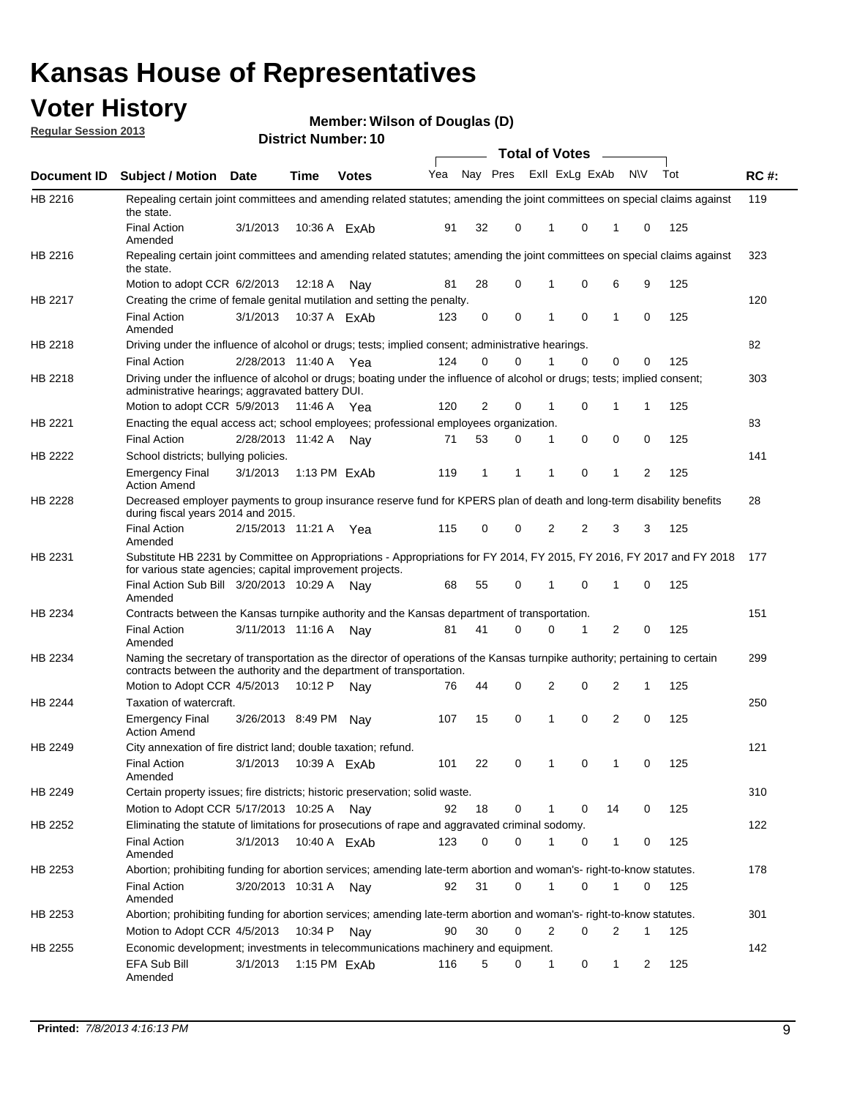## **Voter History**

**Member: Wilson of Douglas (D)** 

**Regular Session 2013**

|                    |                                                                                                                                                                                                       |                       |         | טו הסעוווטנו ועוווט |              |    |   | <b>Total of Votes</b> |          | $\sim$         |                |     |     |
|--------------------|-------------------------------------------------------------------------------------------------------------------------------------------------------------------------------------------------------|-----------------------|---------|---------------------|--------------|----|---|-----------------------|----------|----------------|----------------|-----|-----|
| <b>Document ID</b> | <b>Subject / Motion Date</b>                                                                                                                                                                          |                       | Time    | <b>Votes</b>        | Yea Nay Pres |    |   | Exll ExLg ExAb        |          |                | <b>NV</b>      | Tot | RC# |
| HB 2216            | Repealing certain joint committees and amending related statutes; amending the joint committees on special claims against<br>the state.                                                               |                       |         |                     |              |    |   |                       |          |                |                |     | 119 |
|                    | <b>Final Action</b><br>Amended                                                                                                                                                                        | 3/1/2013              |         | 10:36 A ExAb        | 91           | 32 | 0 | 1                     | 0        | 1              | 0              | 125 |     |
| HB 2216            | Repealing certain joint committees and amending related statutes; amending the joint committees on special claims against<br>the state.                                                               |                       |         |                     |              |    |   |                       |          |                |                |     | 323 |
|                    | Motion to adopt CCR 6/2/2013                                                                                                                                                                          |                       | 12:18 A | Nav                 | 81           | 28 | 0 | 1                     | 0        | 6              | 9              | 125 |     |
| HB 2217            | Creating the crime of female genital mutilation and setting the penalty.                                                                                                                              |                       |         |                     |              |    |   |                       |          |                |                |     | 120 |
|                    | <b>Final Action</b><br>Amended                                                                                                                                                                        | 3/1/2013              |         | 10:37 A ExAb        | 123          | 0  | 0 | 1                     | 0        | $\mathbf{1}$   | 0              | 125 |     |
| HB 2218            | Driving under the influence of alcohol or drugs; tests; implied consent; administrative hearings.                                                                                                     |                       |         |                     |              |    |   |                       |          |                |                |     | 82  |
|                    | <b>Final Action</b>                                                                                                                                                                                   | 2/28/2013 11:40 A Yea |         |                     | 124          | 0  | 0 |                       | 0        | 0              | 0              | 125 |     |
| HB 2218            | Driving under the influence of alcohol or drugs; boating under the influence of alcohol or drugs; tests; implied consent;<br>administrative hearings; aggravated battery DUI.                         |                       |         |                     |              |    |   |                       |          |                |                |     | 303 |
|                    | Motion to adopt CCR 5/9/2013                                                                                                                                                                          |                       | 11:46 A | Yea                 | 120          | 2  | 0 | 1                     | 0        | 1              | 1              | 125 |     |
| HB 2221            | Enacting the equal access act; school employees; professional employees organization.                                                                                                                 |                       |         |                     |              |    |   |                       |          |                |                |     | 83  |
|                    | <b>Final Action</b>                                                                                                                                                                                   | 2/28/2013 11:42 A Nay |         |                     | 71           | 53 | 0 | 1                     | 0        | 0              | 0              | 125 |     |
| HB 2222            | School districts; bullying policies.                                                                                                                                                                  |                       |         |                     |              |    |   |                       |          |                |                |     | 141 |
|                    | <b>Emergency Final</b><br><b>Action Amend</b>                                                                                                                                                         | 3/1/2013              |         | 1:13 PM ExAb        | 119          | 1  | 1 | 1                     | 0        | 1              | $\overline{2}$ | 125 |     |
| <b>HB 2228</b>     | Decreased employer payments to group insurance reserve fund for KPERS plan of death and long-term disability benefits<br>during fiscal years 2014 and 2015.                                           |                       |         |                     |              |    |   |                       |          |                |                |     | 28  |
|                    | <b>Final Action</b><br>Amended                                                                                                                                                                        | 2/15/2013 11:21 A     |         | Yea                 | 115          | 0  | 0 | 2                     | 2        | 3              | 3              | 125 |     |
| HB 2231            | Substitute HB 2231 by Committee on Appropriations - Appropriations for FY 2014, FY 2015, FY 2016, FY 2017 and FY 2018<br>for various state agencies; capital improvement projects.                    |                       |         |                     |              |    |   |                       |          |                |                |     | 177 |
|                    | Final Action Sub Bill 3/20/2013 10:29 A<br>Amended                                                                                                                                                    |                       |         | Nav                 | 68           | 55 | 0 |                       | 0        | 1              | 0              | 125 |     |
| HB 2234            | Contracts between the Kansas turnpike authority and the Kansas department of transportation.                                                                                                          |                       |         |                     |              |    |   |                       |          |                |                |     | 151 |
|                    | <b>Final Action</b><br>Amended                                                                                                                                                                        | 3/11/2013 11:16 A     |         | Nav                 | 81           | 41 | 0 | 0                     | 1        | $\overline{2}$ | 0              | 125 |     |
| HB 2234            | Naming the secretary of transportation as the director of operations of the Kansas turnpike authority; pertaining to certain<br>contracts between the authority and the department of transportation. |                       |         |                     |              |    |   |                       |          |                |                |     | 299 |
|                    | Motion to Adopt CCR 4/5/2013                                                                                                                                                                          |                       | 10:12 P | Nav                 | 76           | 44 | 0 | 2                     | 0        | 2              | 1              | 125 |     |
| <b>HB 2244</b>     | Taxation of watercraft.<br><b>Emergency Final</b>                                                                                                                                                     | 3/26/2013 8:49 PM     |         | Nay                 | 107          | 15 | 0 | 1                     | 0        | 2              | 0              | 125 | 250 |
| HB 2249            | <b>Action Amend</b><br>City annexation of fire district land; double taxation; refund.                                                                                                                |                       |         |                     |              |    |   |                       |          |                |                |     | 121 |
|                    | Final Action 3/1/2013 10:39 A ExAb<br>Amended                                                                                                                                                         |                       |         |                     | 101          | 22 | 0 | $\mathbf{1}$          | $\Omega$ | $\mathbf{1}$   | 0              | 125 |     |
| HB 2249            | Certain property issues; fire districts; historic preservation; solid waste.                                                                                                                          |                       |         |                     |              |    |   |                       |          |                |                |     | 310 |
|                    | Motion to Adopt CCR 5/17/2013 10:25 A Nav                                                                                                                                                             |                       |         |                     | 92           | 18 | 0 | 1                     | 0        | 14             | 0              | 125 |     |
| HB 2252            | Eliminating the statute of limitations for prosecutions of rape and aggravated criminal sodomy.                                                                                                       |                       |         |                     |              |    |   |                       |          |                |                |     | 122 |
|                    | <b>Final Action</b><br>Amended                                                                                                                                                                        | 3/1/2013              |         | 10:40 A ExAb        | 123          | 0  | 0 |                       | 0        | 1              | 0              | 125 |     |
| HB 2253            | Abortion; prohibiting funding for abortion services; amending late-term abortion and woman's- right-to-know statutes.                                                                                 |                       |         |                     |              |    |   |                       |          |                |                |     | 178 |
|                    | <b>Final Action</b><br>Amended                                                                                                                                                                        | 3/20/2013 10:31 A     |         | Nav                 | 92           | 31 | 0 | 1                     | 0        | 1              | 0              | 125 |     |
| HB 2253            | Abortion; prohibiting funding for abortion services; amending late-term abortion and woman's- right-to-know statutes.                                                                                 |                       |         |                     |              |    |   |                       |          |                |                |     | 301 |
|                    | Motion to Adopt CCR 4/5/2013                                                                                                                                                                          |                       | 10:34 P | Nav                 | 90           | 30 | 0 | 2                     | 0        | 2              | 1              | 125 |     |
| HB 2255            | Economic development; investments in telecommunications machinery and equipment.                                                                                                                      |                       |         |                     |              |    |   |                       |          |                |                |     | 142 |
|                    | EFA Sub Bill<br>Amended                                                                                                                                                                               | 3/1/2013              |         | 1:15 PM ExAb        | 116          | 5  | 0 | -1                    | 0        | 1              | 2              | 125 |     |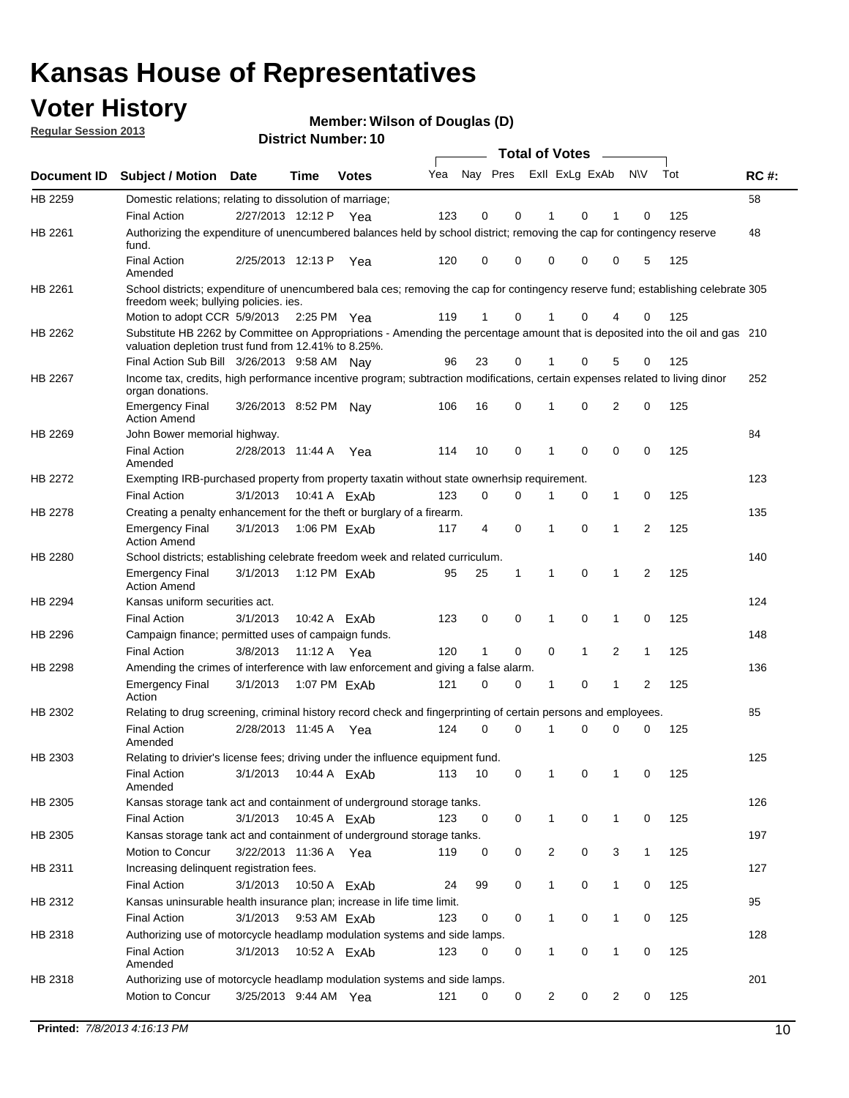## **Voter History**

**Member: Wilson of Douglas (D)** 

**Regular Session 2013**

|             |                                                                                                                                                                                       |                       | טו הסעוווטנו ועוווט |              |     |                         |             | <b>Total of Votes</b> |              | $\overline{\phantom{a}}$ |              |     |             |
|-------------|---------------------------------------------------------------------------------------------------------------------------------------------------------------------------------------|-----------------------|---------------------|--------------|-----|-------------------------|-------------|-----------------------|--------------|--------------------------|--------------|-----|-------------|
| Document ID | <b>Subject / Motion Date</b>                                                                                                                                                          |                       | <b>Time</b>         | <b>Votes</b> | Yea | Nay Pres Exll ExLg ExAb |             |                       |              |                          | <b>NV</b>    | Tot | <b>RC#:</b> |
| HB 2259     | Domestic relations; relating to dissolution of marriage;                                                                                                                              |                       |                     |              |     |                         |             |                       |              |                          |              |     | 58          |
|             | <b>Final Action</b>                                                                                                                                                                   | 2/27/2013 12:12 P     |                     | Yea          | 123 | 0                       | 0           | 1                     | 0            | 1                        | $\Omega$     | 125 |             |
| HB 2261     | Authorizing the expenditure of unencumbered balances held by school district; removing the cap for contingency reserve<br>fund.                                                       |                       |                     |              |     |                         |             |                       |              |                          |              |     | 48          |
|             | <b>Final Action</b><br>Amended                                                                                                                                                        | 2/25/2013 12:13 P     |                     | Yea          | 120 | 0                       | 0           | 0                     | 0            | 0                        | 5            | 125 |             |
| HB 2261     | School districts; expenditure of unencumbered bala ces; removing the cap for contingency reserve fund; establishing celebrate 305<br>freedom week; bullying policies. ies.            |                       |                     |              |     |                         |             |                       |              |                          |              |     |             |
|             | Motion to adopt CCR 5/9/2013                                                                                                                                                          |                       | 2:25 PM Yea         |              | 119 | 1                       | 0           |                       | 0            | 4                        | 0            | 125 |             |
| HB 2262     | Substitute HB 2262 by Committee on Appropriations - Amending the percentage amount that is deposited into the oil and gas 210<br>valuation depletion trust fund from 12.41% to 8.25%. |                       |                     |              |     |                         |             |                       |              |                          |              |     |             |
|             | Final Action Sub Bill 3/26/2013 9:58 AM Nay                                                                                                                                           |                       |                     |              | 96  | 23                      | 0           |                       | 0            | 5                        | 0            | 125 |             |
| HB 2267     | Income tax, credits, high performance incentive program; subtraction modifications, certain expenses related to living dinor<br>organ donations.                                      |                       |                     |              |     |                         |             |                       |              |                          |              |     | 252         |
|             | <b>Emergency Final</b><br><b>Action Amend</b>                                                                                                                                         | 3/26/2013 8:52 PM Nay |                     |              | 106 | 16                      | 0           | 1                     | 0            | 2                        | 0            | 125 |             |
| HB 2269     | John Bower memorial highway.                                                                                                                                                          |                       |                     |              |     |                         |             |                       |              |                          |              |     | 84          |
|             | <b>Final Action</b><br>Amended                                                                                                                                                        | 2/28/2013 11:44 A Yea |                     |              | 114 | 10                      | 0           | 1                     | 0            | 0                        | 0            | 125 |             |
| HB 2272     | Exempting IRB-purchased property from property taxatin without state ownerhsip requirement.                                                                                           |                       |                     |              |     |                         |             |                       |              |                          |              |     | 123         |
|             | <b>Final Action</b>                                                                                                                                                                   | 3/1/2013              | 10:41 A FxAb        |              | 123 | 0                       | 0           | 1                     | 0            | $\mathbf{1}$             | 0            | 125 |             |
| HB 2278     | Creating a penalty enhancement for the theft or burglary of a firearm.                                                                                                                |                       |                     |              |     |                         |             |                       |              |                          |              |     | 135         |
|             | <b>Emergency Final</b><br><b>Action Amend</b>                                                                                                                                         | 3/1/2013              | 1:06 PM ExAb        |              | 117 | 4                       | $\mathbf 0$ | 1                     | 0            | 1                        | 2            | 125 |             |
| HB 2280     | School districts; establishing celebrate freedom week and related curriculum.                                                                                                         |                       |                     |              |     |                         |             |                       |              |                          |              |     | 140         |
|             | <b>Emergency Final</b><br><b>Action Amend</b>                                                                                                                                         | 3/1/2013              | 1:12 PM ExAb        |              | 95  | 25                      | 1           | 1                     | 0            | 1                        | 2            | 125 |             |
| HB 2294     | Kansas uniform securities act.                                                                                                                                                        |                       |                     |              |     |                         |             |                       |              |                          |              |     | 124         |
|             | <b>Final Action</b>                                                                                                                                                                   | 3/1/2013              | 10:42 A ExAb        |              | 123 | 0                       | 0           | 1                     | 0            | $\mathbf{1}$             | 0            | 125 |             |
| HB 2296     | Campaign finance; permitted uses of campaign funds.                                                                                                                                   |                       |                     |              |     |                         |             |                       |              |                          |              |     | 148         |
|             | <b>Final Action</b>                                                                                                                                                                   | 3/8/2013              | 11:12 A Yea         |              | 120 | $\mathbf{1}$            | 0           | 0                     | $\mathbf{1}$ | 2                        | $\mathbf{1}$ | 125 |             |
| HB 2298     | Amending the crimes of interference with law enforcement and giving a false alarm.                                                                                                    |                       |                     |              |     |                         |             |                       |              |                          |              |     | 136         |
|             | <b>Emergency Final</b><br>Action                                                                                                                                                      | 3/1/2013              | 1:07 PM FxAb        |              | 121 | 0                       | 0           | 1                     | 0            | 1                        | 2            | 125 |             |
| HB 2302     | Relating to drug screening, criminal history record check and fingerprinting of certain persons and employees.                                                                        |                       |                     |              |     |                         |             |                       |              |                          |              |     | 85          |
|             | <b>Final Action</b><br>Amended                                                                                                                                                        | 2/28/2013 11:45 A     |                     | Yea          | 124 | 0                       | $\Omega$    | 1                     | 0            | 0                        | $\mathbf 0$  | 125 |             |
| HB 2303     | Relating to drivier's license fees; driving under the influence equipment fund.                                                                                                       |                       |                     |              |     |                         |             |                       |              |                          |              |     | 125         |
|             | <b>Final Action</b><br>Amended                                                                                                                                                        | 3/1/2013              | 10:44 A ExAb        |              | 113 | 10                      | 0           | 1                     | 0            | 1                        | 0            | 125 |             |
| HB 2305     | Kansas storage tank act and containment of underground storage tanks.                                                                                                                 |                       |                     |              |     |                         |             |                       |              |                          |              |     | 126         |
|             | <b>Final Action</b>                                                                                                                                                                   | 3/1/2013              | 10:45 A ExAb        |              | 123 | 0                       | 0           | 1                     | 0            | 1                        | 0            | 125 |             |
| HB 2305     | Kansas storage tank act and containment of underground storage tanks.                                                                                                                 |                       |                     |              |     |                         |             |                       |              |                          |              |     | 197         |
|             | Motion to Concur                                                                                                                                                                      | 3/22/2013 11:36 A     |                     | Yea          | 119 | 0                       | 0           | 2                     | 0            | 3                        | $\mathbf{1}$ | 125 |             |
| HB 2311     | Increasing delinquent registration fees.                                                                                                                                              |                       |                     |              |     |                         |             |                       |              |                          |              |     | 127         |
|             | <b>Final Action</b>                                                                                                                                                                   | 3/1/2013              | 10:50 A ExAb        |              | 24  | 99                      | 0           | $\mathbf{1}$          | 0            | 1                        | 0            | 125 |             |
| HB 2312     | Kansas uninsurable health insurance plan; increase in life time limit.                                                                                                                |                       |                     |              |     |                         |             |                       |              |                          |              |     | 95          |
|             | <b>Final Action</b>                                                                                                                                                                   | 3/1/2013              | 9:53 AM ExAb        |              | 123 | 0                       | 0           | 1                     | 0            | 1                        | 0            | 125 |             |
| HB 2318     | Authorizing use of motorcycle headlamp modulation systems and side lamps.                                                                                                             |                       |                     |              |     |                         |             |                       |              |                          |              |     | 128         |
|             | <b>Final Action</b><br>Amended                                                                                                                                                        | 3/1/2013              | 10:52 A ExAb        |              | 123 | 0                       | 0           | 1                     | 0            | 1                        | 0            | 125 |             |
| HB 2318     | Authorizing use of motorcycle headlamp modulation systems and side lamps.                                                                                                             |                       |                     |              |     |                         |             |                       |              |                          |              |     | 201         |
|             | Motion to Concur                                                                                                                                                                      | 3/25/2013 9:44 AM Yea |                     |              | 121 | 0                       | 0           | 2                     | 0            | 2                        | 0            | 125 |             |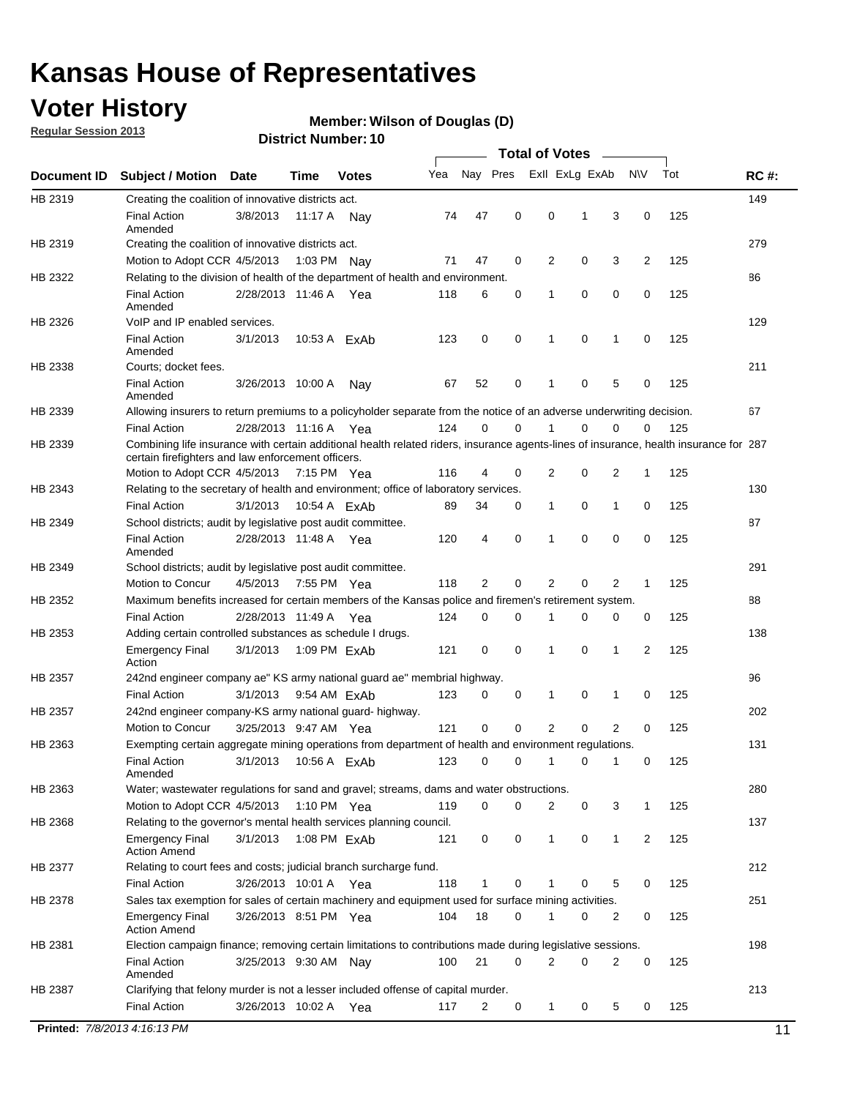## **Voter History**

**Regular Session 2013**

#### **Member: Wilson of Douglas (D)**

|                |                                                                                                                                                                                             |                       | ו הסעוווטנו ועווווטכו |              |     |                |             | Total of Votes  |   |             |                |     |             |
|----------------|---------------------------------------------------------------------------------------------------------------------------------------------------------------------------------------------|-----------------------|-----------------------|--------------|-----|----------------|-------------|-----------------|---|-------------|----------------|-----|-------------|
| Document ID    | <b>Subject / Motion Date</b>                                                                                                                                                                |                       | <b>Time</b>           | <b>Votes</b> | Yea | Nay Pres       |             | Exll ExLg ExAb  |   |             | N\V            | Tot | <b>RC#:</b> |
| HB 2319        | Creating the coalition of innovative districts act.                                                                                                                                         |                       |                       |              |     |                |             |                 |   |             |                |     | 149         |
|                | <b>Final Action</b><br>Amended                                                                                                                                                              | 3/8/2013              | 11:17 A Nay           |              | 74  | 47             | 0           | 0               | 1 | 3           | 0              | 125 |             |
| HB 2319        | Creating the coalition of innovative districts act.                                                                                                                                         |                       |                       |              |     |                |             |                 |   |             |                |     | 279         |
|                | Motion to Adopt CCR 4/5/2013                                                                                                                                                                |                       | 1:03 PM Nay           |              | 71  | 47             | 0           | 2               | 0 | 3           | 2              | 125 |             |
| HB 2322        | Relating to the division of health of the department of health and environment.                                                                                                             |                       |                       |              |     |                |             |                 |   |             |                |     | 86          |
|                | <b>Final Action</b><br>Amended                                                                                                                                                              | 2/28/2013 11:46 A Yea |                       |              | 118 | 6              | 0           | 1               | 0 | 0           | 0              | 125 |             |
| HB 2326        | VoIP and IP enabled services.                                                                                                                                                               |                       |                       |              |     |                |             |                 |   |             |                |     | 129         |
|                | <b>Final Action</b><br>Amended                                                                                                                                                              | 3/1/2013              | 10:53 A ExAb          |              | 123 | 0              | 0           | 1               | 0 | 1           | 0              | 125 |             |
| HB 2338        | Courts; docket fees.                                                                                                                                                                        |                       |                       |              |     |                |             |                 |   |             |                |     | 211         |
|                | <b>Final Action</b><br>Amended                                                                                                                                                              | 3/26/2013 10:00 A     |                       | Nav          | 67  | 52             | 0           | 1               | 0 | 5           | 0              | 125 |             |
| HB 2339        | Allowing insurers to return premiums to a policyholder separate from the notice of an adverse underwriting decision.                                                                        |                       |                       |              |     |                |             |                 |   |             |                |     | 67          |
|                | <b>Final Action</b>                                                                                                                                                                         | 2/28/2013 11:16 A Yea |                       |              | 124 | 0              | 0           |                 | 0 | 0           | 0              | 125 |             |
| HB 2339        | Combining life insurance with certain additional health related riders, insurance agents-lines of insurance, health insurance for 287<br>certain firefighters and law enforcement officers. |                       |                       |              |     |                |             |                 |   |             |                |     |             |
|                | Motion to Adopt CCR 4/5/2013 7:15 PM Yea                                                                                                                                                    |                       |                       |              | 116 | $\overline{4}$ | 0           | 2               | 0 | 2           | 1              | 125 |             |
| HB 2343        | Relating to the secretary of health and environment; office of laboratory services.                                                                                                         |                       |                       |              |     |                |             |                 |   |             |                |     | 130         |
|                | <b>Final Action</b>                                                                                                                                                                         | 3/1/2013              | 10:54 A ExAb          |              | 89  | 34             | 0           | 1               | 0 | 1           | 0              | 125 |             |
| HB 2349        | School districts; audit by legislative post audit committee.                                                                                                                                |                       |                       |              |     |                |             |                 |   |             |                |     | 87          |
|                | <b>Final Action</b><br>Amended                                                                                                                                                              | 2/28/2013 11:48 A Yea |                       |              | 120 | $\overline{4}$ | 0           | 1               | 0 | 0           | 0              | 125 |             |
| HB 2349        | School districts; audit by legislative post audit committee.                                                                                                                                |                       |                       |              |     |                |             |                 |   |             |                |     | 291         |
|                | Motion to Concur                                                                                                                                                                            | 4/5/2013              | 7:55 PM Yea           |              | 118 | $\overline{2}$ | 0           | 2               | 0 | 2           | 1              | 125 |             |
| HB 2352        | Maximum benefits increased for certain members of the Kansas police and firemen's retirement system.                                                                                        |                       |                       |              |     |                |             |                 |   |             |                |     | 88          |
|                | <b>Final Action</b>                                                                                                                                                                         | 2/28/2013 11:49 A Yea |                       |              | 124 | 0              | 0           | 1               | 0 | 0           | 0              | 125 |             |
| HB 2353        | Adding certain controlled substances as schedule I drugs.                                                                                                                                   |                       |                       |              |     |                |             |                 |   |             |                |     | 138         |
|                | <b>Emergency Final</b><br>Action                                                                                                                                                            | 3/1/2013              | 1:09 PM ExAb          |              | 121 | 0              | $\mathbf 0$ | 1               | 0 | $\mathbf 1$ | 2              | 125 |             |
| HB 2357        | 242nd engineer company ae" KS army national guard ae" membrial highway.                                                                                                                     |                       |                       |              |     |                |             |                 |   |             |                |     | 96          |
|                | <b>Final Action</b>                                                                                                                                                                         | 3/1/2013              | 9:54 AM ExAb          |              | 123 | 0              | 0           | 1               | 0 | 1           | 0              | 125 |             |
| <b>HB 2357</b> | 242nd engineer company-KS army national guard- highway.                                                                                                                                     |                       |                       |              |     |                |             |                 |   |             |                |     | 202         |
|                | Motion to Concur                                                                                                                                                                            | 3/25/2013 9:47 AM Yea |                       |              | 121 | 0              | 0           | 2               | 0 | 2           | 0              | 125 |             |
| HB 2363        | Exempting certain aggregate mining operations from department of health and environment regulations.                                                                                        |                       |                       |              |     |                |             |                 |   |             |                |     | 131         |
|                | Final Action 3/1/2013 10:56 A ExAb<br>Amended                                                                                                                                               |                       |                       |              |     |                |             | 123 0 0 1 0 1 0 |   |             |                | 125 |             |
| HB 2363        | Water; wastewater regulations for sand and gravel; streams, dams and water obstructions.                                                                                                    |                       |                       |              |     |                |             |                 |   |             |                |     | 280         |
|                | Motion to Adopt CCR 4/5/2013 1:10 PM Yea                                                                                                                                                    |                       |                       |              | 119 | 0              | 0           | 2               | 0 | 3           | 1              | 125 |             |
| HB 2368        | Relating to the governor's mental health services planning council.                                                                                                                         |                       |                       |              |     |                |             |                 |   |             |                |     | 137         |
|                | <b>Emergency Final</b><br><b>Action Amend</b>                                                                                                                                               | 3/1/2013              | 1:08 PM ExAb          |              | 121 | 0              | 0           | 1               | 0 | 1           | $\overline{2}$ | 125 |             |
| HB 2377        | Relating to court fees and costs; judicial branch surcharge fund.                                                                                                                           |                       |                       |              |     |                |             |                 |   |             |                |     | 212         |
|                | <b>Final Action</b>                                                                                                                                                                         | 3/26/2013 10:01 A Yea |                       |              | 118 | 1              | 0           |                 | 0 | 5           | 0              | 125 |             |
| HB 2378        | Sales tax exemption for sales of certain machinery and equipment used for surface mining activities.                                                                                        |                       |                       |              |     |                |             |                 |   |             |                |     | 251         |
|                | <b>Emergency Final</b><br><b>Action Amend</b>                                                                                                                                               | 3/26/2013 8:51 PM Yea |                       |              | 104 | 18             | 0           | 1               | 0 | 2           | 0              | 125 |             |
| HB 2381        | Election campaign finance; removing certain limitations to contributions made during legislative sessions.                                                                                  |                       |                       |              |     |                |             |                 |   |             |                |     | 198         |
|                | <b>Final Action</b>                                                                                                                                                                         | 3/25/2013 9:30 AM Nay |                       |              | 100 | 21             | 0           | 2               | 0 | 2           | 0              | 125 |             |
|                | Amended                                                                                                                                                                                     |                       |                       |              |     |                |             |                 |   |             |                |     |             |
| HB 2387        | Clarifying that felony murder is not a lesser included offense of capital murder.                                                                                                           |                       |                       |              |     |                |             |                 |   |             |                |     | 213         |
|                | <b>Final Action</b>                                                                                                                                                                         | 3/26/2013 10:02 A Yea |                       |              | 117 | $\overline{2}$ | 0           | 1               | 0 | 5           | 0              | 125 |             |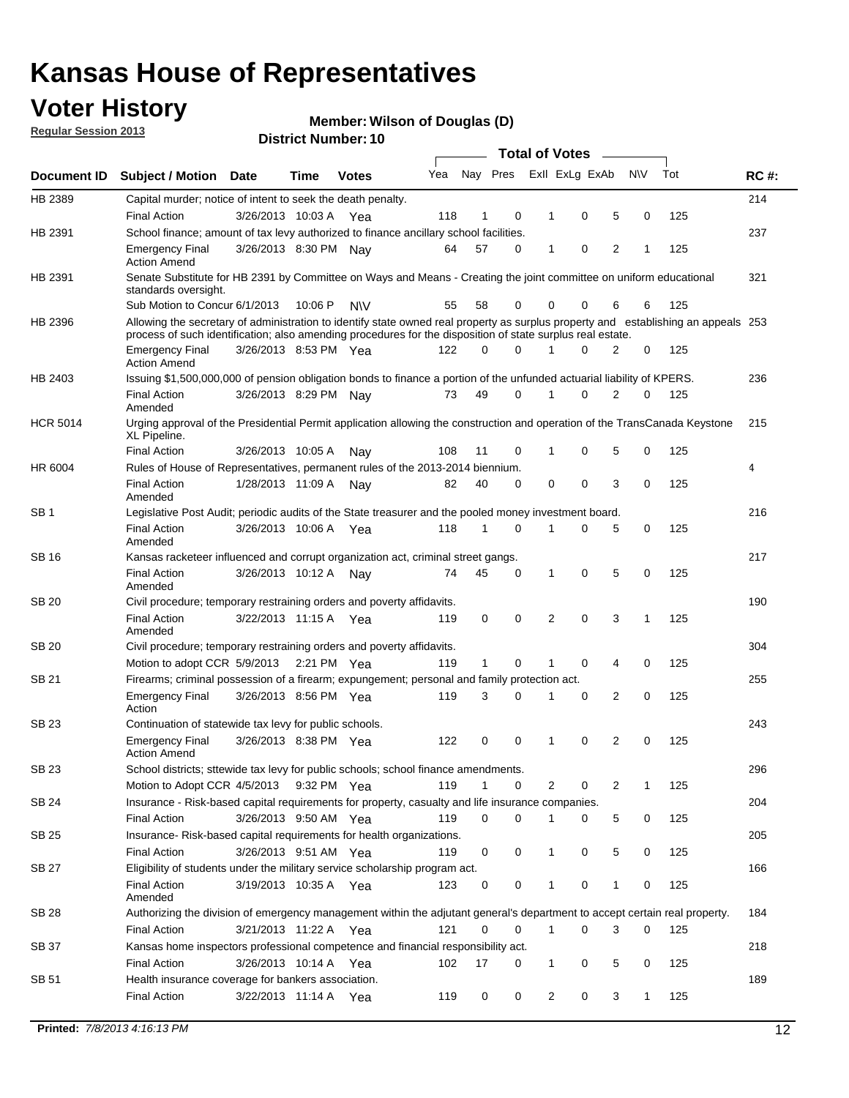## **Voter History**

**Member: Wilson of Douglas (D)** 

**Regular Session 2013**

|                 |                                                                                                                                                                                                                                                  |                       |         |              |     |              |   | <b>Total of Votes</b> |             |   |              |     |             |
|-----------------|--------------------------------------------------------------------------------------------------------------------------------------------------------------------------------------------------------------------------------------------------|-----------------------|---------|--------------|-----|--------------|---|-----------------------|-------------|---|--------------|-----|-------------|
| Document ID     | <b>Subject / Motion</b>                                                                                                                                                                                                                          | <b>Date</b>           | Time    | <b>Votes</b> | Yea | Nay Pres     |   | Exll ExLg ExAb        |             |   | <b>NV</b>    | Tot | <b>RC#:</b> |
| HB 2389         | Capital murder; notice of intent to seek the death penalty.                                                                                                                                                                                      |                       |         |              |     |              |   |                       |             |   |              |     | 214         |
|                 | <b>Final Action</b>                                                                                                                                                                                                                              | 3/26/2013 10:03 A     |         | Yea          | 118 | 1            | 0 | 1                     | 0           | 5 | 0            | 125 |             |
| HB 2391         | School finance; amount of tax levy authorized to finance ancillary school facilities.                                                                                                                                                            |                       |         |              |     |              |   |                       |             |   |              |     | 237         |
|                 | <b>Emergency Final</b><br><b>Action Amend</b>                                                                                                                                                                                                    | 3/26/2013 8:30 PM Nay |         |              | 64  | 57           | 0 | $\mathbf{1}$          | 0           | 2 | 1            | 125 |             |
| HB 2391         | Senate Substitute for HB 2391 by Committee on Ways and Means - Creating the joint committee on uniform educational<br>standards oversight.                                                                                                       |                       |         |              |     |              |   |                       |             |   |              |     | 321         |
|                 | Sub Motion to Concur 6/1/2013                                                                                                                                                                                                                    |                       | 10:06 P | <b>NV</b>    | 55  | 58           | 0 | 0                     | 0           | 6 | 6            | 125 |             |
| HB 2396         | Allowing the secretary of administration to identify state owned real property as surplus property and establishing an appeals 253<br>process of such identification; also amending procedures for the disposition of state surplus real estate. |                       |         |              |     |              |   |                       |             |   |              |     |             |
|                 | <b>Emergency Final</b><br><b>Action Amend</b>                                                                                                                                                                                                    | 3/26/2013 8:53 PM Yea |         |              | 122 | 0            | 0 | 1                     | 0           | 2 | 0            | 125 |             |
| HB 2403         | Issuing \$1,500,000,000 of pension obligation bonds to finance a portion of the unfunded actuarial liability of KPERS.                                                                                                                           |                       |         |              |     |              |   |                       |             |   |              |     | 236         |
|                 | <b>Final Action</b><br>Amended                                                                                                                                                                                                                   | 3/26/2013 8:29 PM Nay |         |              | 73  | 49           | 0 | 1                     | 0           | 2 | 0            | 125 |             |
| <b>HCR 5014</b> | Urging approval of the Presidential Permit application allowing the construction and operation of the TransCanada Keystone<br>XL Pipeline.                                                                                                       |                       |         |              |     |              |   |                       |             |   |              |     | 215         |
|                 | <b>Final Action</b>                                                                                                                                                                                                                              | 3/26/2013 10:05 A     |         | Nay          | 108 | 11           | 0 |                       | 0           | 5 | 0            | 125 |             |
| HR 6004         | Rules of House of Representatives, permanent rules of the 2013-2014 biennium.                                                                                                                                                                    |                       |         |              |     |              |   |                       |             |   |              |     | 4           |
|                 | <b>Final Action</b><br>Amended                                                                                                                                                                                                                   | 1/28/2013 11:09 A     |         | Nav          | 82  | 40           | 0 | 0                     | 0           | 3 | 0            | 125 |             |
| SB 1            | Legislative Post Audit; periodic audits of the State treasurer and the pooled money investment board.                                                                                                                                            |                       |         |              |     |              |   |                       |             |   |              |     | 216         |
|                 | <b>Final Action</b><br>Amended                                                                                                                                                                                                                   | 3/26/2013 10:06 A     |         | Yea          | 118 | $\mathbf{1}$ | 0 | 1                     | 0           | 5 | 0            | 125 |             |
| SB 16           | Kansas racketeer influenced and corrupt organization act, criminal street gangs.                                                                                                                                                                 |                       |         |              |     |              |   |                       |             |   |              |     | 217         |
|                 | <b>Final Action</b><br>Amended                                                                                                                                                                                                                   | 3/26/2013 10:12 A Nay |         |              | 74  | 45           | 0 | 1                     | $\mathbf 0$ | 5 | 0            | 125 |             |
| SB 20           | Civil procedure; temporary restraining orders and poverty affidavits.                                                                                                                                                                            |                       |         |              |     |              |   |                       |             |   |              |     | 190         |
|                 | <b>Final Action</b><br>Amended                                                                                                                                                                                                                   | 3/22/2013 11:15 A     |         | Yea          | 119 | 0            | 0 | 2                     | 0           | 3 | $\mathbf{1}$ | 125 |             |
| <b>SB 20</b>    | Civil procedure; temporary restraining orders and poverty affidavits.                                                                                                                                                                            |                       |         |              |     |              |   |                       |             |   |              |     | 304         |
|                 | Motion to adopt CCR 5/9/2013 2:21 PM Yea                                                                                                                                                                                                         |                       |         |              | 119 | 1            | 0 | 1                     | 0           | 4 | 0            | 125 |             |
| SB 21           | Firearms; criminal possession of a firearm; expungement; personal and family protection act.                                                                                                                                                     |                       |         |              |     |              |   |                       |             |   |              |     | 255         |
|                 | <b>Emergency Final</b><br>Action                                                                                                                                                                                                                 | 3/26/2013 8:56 PM Yea |         |              | 119 | 3            | 0 | 1                     | 0           | 2 | 0            | 125 |             |
| SB 23           | Continuation of statewide tax levy for public schools.                                                                                                                                                                                           |                       |         |              |     |              |   |                       |             |   |              |     | 243         |
|                 | <b>Emergency Final</b><br><b>Action Amend</b>                                                                                                                                                                                                    | 3/26/2013 8:38 PM Yea |         |              | 122 | 0            | 0 | 1                     | 0           | 2 | 0            | 125 |             |
| <b>SB 23</b>    | School districts; sttewide tax levy for public schools; school finance amendments.                                                                                                                                                               |                       |         |              |     |              |   |                       |             |   |              |     | 296         |
|                 | Motion to Adopt CCR 4/5/2013 9:32 PM Yea                                                                                                                                                                                                         |                       |         |              | 119 | $\mathbf{1}$ | 0 | 2                     | 0           | 2 | 1            | 125 |             |
| <b>SB 24</b>    | Insurance - Risk-based capital requirements for property, casualty and life insurance companies.                                                                                                                                                 |                       |         |              |     |              |   |                       |             |   |              |     | 204         |
|                 | <b>Final Action</b>                                                                                                                                                                                                                              | 3/26/2013 9:50 AM Yea |         |              | 119 | 0            | 0 | 1                     | 0           | 5 | 0            | 125 |             |
| SB 25           | Insurance-Risk-based capital requirements for health organizations.                                                                                                                                                                              |                       |         |              |     |              |   |                       |             |   |              |     | 205         |
|                 | <b>Final Action</b>                                                                                                                                                                                                                              | 3/26/2013 9:51 AM Yea |         |              | 119 | 0            | 0 | 1                     | 0           | 5 | 0            | 125 |             |
| SB 27           | Eligibility of students under the military service scholarship program act.                                                                                                                                                                      |                       |         |              |     |              |   |                       |             |   |              |     | 166         |
|                 | <b>Final Action</b><br>Amended                                                                                                                                                                                                                   | 3/19/2013 10:35 A Yea |         |              | 123 | 0            | 0 |                       | 0           | 1 | 0            | 125 |             |
| SB 28           | Authorizing the division of emergency management within the adjutant general's department to accept certain real property.                                                                                                                       |                       |         |              |     |              |   |                       |             |   |              |     | 184         |
|                 | <b>Final Action</b>                                                                                                                                                                                                                              | 3/21/2013 11:22 A Yea |         |              | 121 | $\Omega$     | 0 | 1                     | 0           | 3 | $\Omega$     | 125 |             |
| SB 37           | Kansas home inspectors professional competence and financial responsibility act.                                                                                                                                                                 |                       |         |              |     |              |   |                       |             |   |              |     | 218         |
|                 | <b>Final Action</b>                                                                                                                                                                                                                              | 3/26/2013 10:14 A Yea |         |              | 102 | 17           | 0 | 1                     | 0           | 5 | 0            | 125 |             |
| SB 51           | Health insurance coverage for bankers association.                                                                                                                                                                                               |                       |         |              |     |              |   |                       |             |   |              |     | 189         |
|                 | <b>Final Action</b>                                                                                                                                                                                                                              | 3/22/2013 11:14 A Yea |         |              | 119 | 0            | 0 | $\overline{c}$        | 0           | 3 | $\mathbf{1}$ | 125 |             |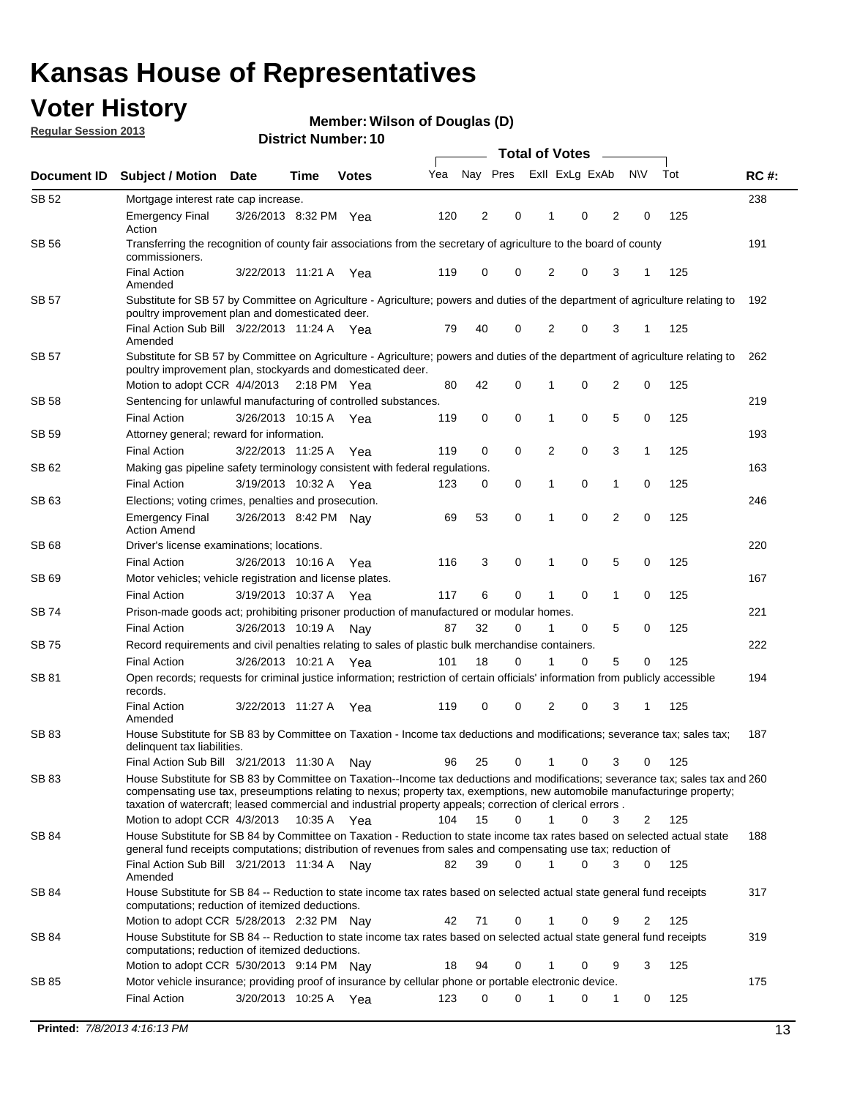## **Voter History**

**Member: Wilson of Douglas (D)** 

**Regular Session 2013**

| Nay Pres<br>Exll ExLg ExAb<br><b>NV</b><br>Tot<br>Yea<br><b>RC#:</b><br>Document ID<br><b>Subject / Motion</b><br><b>Date</b><br><b>Votes</b><br>Time<br>SB 52<br>238<br>Mortgage interest rate cap increase.<br>125<br>Emergency Final<br>3/26/2013 8:32 PM Yea<br>120<br>2<br>0<br>0<br>2<br>0<br>1<br>Action<br><b>SB 56</b><br>191<br>Transferring the recognition of county fair associations from the secretary of agriculture to the board of county<br>commissioners.<br><b>Final Action</b><br>0<br>0<br>3<br>125<br>3/22/2013 11:21 A<br>119<br>0<br>2<br>Yea<br>Amended<br><b>SB 57</b><br>Substitute for SB 57 by Committee on Agriculture - Agriculture; powers and duties of the department of agriculture relating to<br>192<br>poultry improvement plan and domesticated deer.<br>Final Action Sub Bill 3/22/2013 11:24 A Yea<br>79<br>40<br>0<br>2<br>0<br>125<br>3<br>1<br>Amended<br>SB 57<br>Substitute for SB 57 by Committee on Agriculture - Agriculture; powers and duties of the department of agriculture relating to<br>262<br>poultry improvement plan, stockyards and domesticated deer.<br>Motion to adopt CCR 4/4/2013<br>80<br>42<br>0<br>0<br>2<br>0<br>125<br>2:18 PM Yea<br>1<br>Sentencing for unlawful manufacturing of controlled substances.<br>SB 58<br>219<br>0<br>5<br><b>Final Action</b><br>3/26/2013 10:15 A<br>0<br>0<br>0<br>125<br>119<br>1<br>Yea<br>Attorney general; reward for information.<br>SB 59<br>193<br>0<br>3<br><b>Final Action</b><br>3/22/2013 11:25 A<br>119<br>0<br>0<br>2<br>1<br>125<br>Yea<br>163<br>SB 62<br>Making gas pipeline safety terminology consistent with federal regulations.<br>0<br><b>Final Action</b><br>3/19/2013 10:32 A<br>0<br>1<br>0<br>125<br>123<br>0<br>1<br>Yea<br>SB 63<br>Elections; voting crimes, penalties and prosecution.<br>246<br>0<br>$\overline{2}$<br>53<br>$\mathbf 0$<br>0<br>125<br><b>Emergency Final</b><br>3/26/2013 8:42 PM Nay<br>69<br>1<br><b>Action Amend</b><br>220<br>SB 68<br>Driver's license examinations; locations.<br>3<br>0<br>0<br>5<br>0<br>125<br><b>Final Action</b><br>3/26/2013 10:16 A<br>116<br>1<br>Yea<br>167<br>SB 69<br>Motor vehicles; vehicle registration and license plates.<br>3/19/2013 10:37 A<br>6<br>0<br>0<br>$\mathbf{1}$<br>0<br>125<br><b>Final Action</b><br>117<br>1<br>Yea<br>Prison-made goods act; prohibiting prisoner production of manufactured or modular homes.<br>221<br>SB 74<br>87<br>32<br>0<br>5<br>125<br><b>Final Action</b><br>3/26/2013 10:19 A<br>1<br>0<br>0<br>Nay<br>Record requirements and civil penalties relating to sales of plastic bulk merchandise containers.<br>222<br><b>SB 75</b><br>18<br>5<br>3/26/2013 10:21 A<br>101<br>$\Omega$<br>0<br>0<br>125<br><b>Final Action</b><br>1<br>Yea<br>Open records; requests for criminal justice information; restriction of certain officials' information from publicly accessible<br>194<br>SB 81<br>records.<br><b>Final Action</b><br>0<br>0<br>2<br>0<br>3<br>125<br>3/22/2013 11:27 A<br>119<br>Yea<br>1<br>Amended<br><b>SB 83</b><br>187<br>House Substitute for SB 83 by Committee on Taxation - Income tax deductions and modifications; severance tax; sales tax;<br>delinquent tax liabilities.<br>25<br>0<br>0<br>3<br>0<br>125<br>Final Action Sub Bill 3/21/2013 11:30 A<br>96<br>1<br>Nav<br>SB 83<br>House Substitute for SB 83 by Committee on Taxation--Income tax deductions and modifications; severance tax; sales tax and 260<br>compensating use tax, preseumptions relating to nexus; property tax, exemptions, new automobile manufacturinge property;<br>taxation of watercraft; leased commercial and industrial property appeals; correction of clerical errors.<br>104<br>15<br>$\Omega$<br>$\mathbf{1}$<br>0<br>125<br>Motion to adopt CCR 4/3/2013<br>10:35 A Yea<br>3<br>2<br><b>SB 84</b><br>House Substitute for SB 84 by Committee on Taxation - Reduction to state income tax rates based on selected actual state<br>188<br>general fund receipts computations; distribution of revenues from sales and compensating use tax; reduction of<br>Final Action Sub Bill 3/21/2013 11:34 A Nay<br>39<br>0<br>3<br>$\Omega$<br>125<br>82<br>0<br>Amended<br><b>SB 84</b><br>House Substitute for SB 84 -- Reduction to state income tax rates based on selected actual state general fund receipts<br>317<br>computations; reduction of itemized deductions.<br>71<br>0<br>0<br>125<br>Motion to adopt CCR 5/28/2013 2:32 PM Nay<br>42<br>9<br>2<br>SB 84<br>House Substitute for SB 84 -- Reduction to state income tax rates based on selected actual state general fund receipts<br>319<br>computations; reduction of itemized deductions.<br>Motion to adopt CCR 5/30/2013 9:14 PM Nay<br>18<br>94<br>0<br>0<br>9<br>3<br>125<br>1<br>Motor vehicle insurance; providing proof of insurance by cellular phone or portable electronic device.<br>SB 85<br>175<br><b>Final Action</b><br>3/20/2013 10:25 A Yea<br>123<br>$\Omega$<br>$\Omega$<br>0<br>125<br>1<br>0<br>1 |  |  |  |  |  |  |  |  |
|---------------------------------------------------------------------------------------------------------------------------------------------------------------------------------------------------------------------------------------------------------------------------------------------------------------------------------------------------------------------------------------------------------------------------------------------------------------------------------------------------------------------------------------------------------------------------------------------------------------------------------------------------------------------------------------------------------------------------------------------------------------------------------------------------------------------------------------------------------------------------------------------------------------------------------------------------------------------------------------------------------------------------------------------------------------------------------------------------------------------------------------------------------------------------------------------------------------------------------------------------------------------------------------------------------------------------------------------------------------------------------------------------------------------------------------------------------------------------------------------------------------------------------------------------------------------------------------------------------------------------------------------------------------------------------------------------------------------------------------------------------------------------------------------------------------------------------------------------------------------------------------------------------------------------------------------------------------------------------------------------------------------------------------------------------------------------------------------------------------------------------------------------------------------------------------------------------------------------------------------------------------------------------------------------------------------------------------------------------------------------------------------------------------------------------------------------------------------------------------------------------------------------------------------------------------------------------------------------------------------------------------------------------------------------------------------------------------------------------------------------------------------------------------------------------------------------------------------------------------------------------------------------------------------------------------------------------------------------------------------------------------------------------------------------------------------------------------------------------------------------------------------------------------------------------------------------------------------------------------------------------------------------------------------------------------------------------------------------------------------------------------------------------------------------------------------------------------------------------------------------------------------------------------------------------------------------------------------------------------------------------------------------------------------------------------------------------------------------------------------------------------------------------------------------------------------------------------------------------------------------------------------------------------------------------------------------------------------------------------------------------------------------------------------------------------------------------------------------------------------------------------------------------------------------------------------------------------------------------------------------------------------------------------------------------------------------------------------------------------------------------------------------------------------------------------------------------------------------------------------------------------------------------------------------------------------------------------------------------------------------------------------------------------------------------------------------------------------------------------------------------------------------------------------------------------------------------------------------------------------------------------------------------------------------------------------------------------------------------------------------------------------------------------------|--|--|--|--|--|--|--|--|
|                                                                                                                                                                                                                                                                                                                                                                                                                                                                                                                                                                                                                                                                                                                                                                                                                                                                                                                                                                                                                                                                                                                                                                                                                                                                                                                                                                                                                                                                                                                                                                                                                                                                                                                                                                                                                                                                                                                                                                                                                                                                                                                                                                                                                                                                                                                                                                                                                                                                                                                                                                                                                                                                                                                                                                                                                                                                                                                                                                                                                                                                                                                                                                                                                                                                                                                                                                                                                                                                                                                                                                                                                                                                                                                                                                                                                                                                                                                                                                                                                                                                                                                                                                                                                                                                                                                                                                                                                                                                                                                                                                                                                                                                                                                                                                                                                                                                                                                                                                                                                                             |  |  |  |  |  |  |  |  |
|                                                                                                                                                                                                                                                                                                                                                                                                                                                                                                                                                                                                                                                                                                                                                                                                                                                                                                                                                                                                                                                                                                                                                                                                                                                                                                                                                                                                                                                                                                                                                                                                                                                                                                                                                                                                                                                                                                                                                                                                                                                                                                                                                                                                                                                                                                                                                                                                                                                                                                                                                                                                                                                                                                                                                                                                                                                                                                                                                                                                                                                                                                                                                                                                                                                                                                                                                                                                                                                                                                                                                                                                                                                                                                                                                                                                                                                                                                                                                                                                                                                                                                                                                                                                                                                                                                                                                                                                                                                                                                                                                                                                                                                                                                                                                                                                                                                                                                                                                                                                                                             |  |  |  |  |  |  |  |  |
|                                                                                                                                                                                                                                                                                                                                                                                                                                                                                                                                                                                                                                                                                                                                                                                                                                                                                                                                                                                                                                                                                                                                                                                                                                                                                                                                                                                                                                                                                                                                                                                                                                                                                                                                                                                                                                                                                                                                                                                                                                                                                                                                                                                                                                                                                                                                                                                                                                                                                                                                                                                                                                                                                                                                                                                                                                                                                                                                                                                                                                                                                                                                                                                                                                                                                                                                                                                                                                                                                                                                                                                                                                                                                                                                                                                                                                                                                                                                                                                                                                                                                                                                                                                                                                                                                                                                                                                                                                                                                                                                                                                                                                                                                                                                                                                                                                                                                                                                                                                                                                             |  |  |  |  |  |  |  |  |
|                                                                                                                                                                                                                                                                                                                                                                                                                                                                                                                                                                                                                                                                                                                                                                                                                                                                                                                                                                                                                                                                                                                                                                                                                                                                                                                                                                                                                                                                                                                                                                                                                                                                                                                                                                                                                                                                                                                                                                                                                                                                                                                                                                                                                                                                                                                                                                                                                                                                                                                                                                                                                                                                                                                                                                                                                                                                                                                                                                                                                                                                                                                                                                                                                                                                                                                                                                                                                                                                                                                                                                                                                                                                                                                                                                                                                                                                                                                                                                                                                                                                                                                                                                                                                                                                                                                                                                                                                                                                                                                                                                                                                                                                                                                                                                                                                                                                                                                                                                                                                                             |  |  |  |  |  |  |  |  |
|                                                                                                                                                                                                                                                                                                                                                                                                                                                                                                                                                                                                                                                                                                                                                                                                                                                                                                                                                                                                                                                                                                                                                                                                                                                                                                                                                                                                                                                                                                                                                                                                                                                                                                                                                                                                                                                                                                                                                                                                                                                                                                                                                                                                                                                                                                                                                                                                                                                                                                                                                                                                                                                                                                                                                                                                                                                                                                                                                                                                                                                                                                                                                                                                                                                                                                                                                                                                                                                                                                                                                                                                                                                                                                                                                                                                                                                                                                                                                                                                                                                                                                                                                                                                                                                                                                                                                                                                                                                                                                                                                                                                                                                                                                                                                                                                                                                                                                                                                                                                                                             |  |  |  |  |  |  |  |  |
|                                                                                                                                                                                                                                                                                                                                                                                                                                                                                                                                                                                                                                                                                                                                                                                                                                                                                                                                                                                                                                                                                                                                                                                                                                                                                                                                                                                                                                                                                                                                                                                                                                                                                                                                                                                                                                                                                                                                                                                                                                                                                                                                                                                                                                                                                                                                                                                                                                                                                                                                                                                                                                                                                                                                                                                                                                                                                                                                                                                                                                                                                                                                                                                                                                                                                                                                                                                                                                                                                                                                                                                                                                                                                                                                                                                                                                                                                                                                                                                                                                                                                                                                                                                                                                                                                                                                                                                                                                                                                                                                                                                                                                                                                                                                                                                                                                                                                                                                                                                                                                             |  |  |  |  |  |  |  |  |
|                                                                                                                                                                                                                                                                                                                                                                                                                                                                                                                                                                                                                                                                                                                                                                                                                                                                                                                                                                                                                                                                                                                                                                                                                                                                                                                                                                                                                                                                                                                                                                                                                                                                                                                                                                                                                                                                                                                                                                                                                                                                                                                                                                                                                                                                                                                                                                                                                                                                                                                                                                                                                                                                                                                                                                                                                                                                                                                                                                                                                                                                                                                                                                                                                                                                                                                                                                                                                                                                                                                                                                                                                                                                                                                                                                                                                                                                                                                                                                                                                                                                                                                                                                                                                                                                                                                                                                                                                                                                                                                                                                                                                                                                                                                                                                                                                                                                                                                                                                                                                                             |  |  |  |  |  |  |  |  |
|                                                                                                                                                                                                                                                                                                                                                                                                                                                                                                                                                                                                                                                                                                                                                                                                                                                                                                                                                                                                                                                                                                                                                                                                                                                                                                                                                                                                                                                                                                                                                                                                                                                                                                                                                                                                                                                                                                                                                                                                                                                                                                                                                                                                                                                                                                                                                                                                                                                                                                                                                                                                                                                                                                                                                                                                                                                                                                                                                                                                                                                                                                                                                                                                                                                                                                                                                                                                                                                                                                                                                                                                                                                                                                                                                                                                                                                                                                                                                                                                                                                                                                                                                                                                                                                                                                                                                                                                                                                                                                                                                                                                                                                                                                                                                                                                                                                                                                                                                                                                                                             |  |  |  |  |  |  |  |  |
|                                                                                                                                                                                                                                                                                                                                                                                                                                                                                                                                                                                                                                                                                                                                                                                                                                                                                                                                                                                                                                                                                                                                                                                                                                                                                                                                                                                                                                                                                                                                                                                                                                                                                                                                                                                                                                                                                                                                                                                                                                                                                                                                                                                                                                                                                                                                                                                                                                                                                                                                                                                                                                                                                                                                                                                                                                                                                                                                                                                                                                                                                                                                                                                                                                                                                                                                                                                                                                                                                                                                                                                                                                                                                                                                                                                                                                                                                                                                                                                                                                                                                                                                                                                                                                                                                                                                                                                                                                                                                                                                                                                                                                                                                                                                                                                                                                                                                                                                                                                                                                             |  |  |  |  |  |  |  |  |
|                                                                                                                                                                                                                                                                                                                                                                                                                                                                                                                                                                                                                                                                                                                                                                                                                                                                                                                                                                                                                                                                                                                                                                                                                                                                                                                                                                                                                                                                                                                                                                                                                                                                                                                                                                                                                                                                                                                                                                                                                                                                                                                                                                                                                                                                                                                                                                                                                                                                                                                                                                                                                                                                                                                                                                                                                                                                                                                                                                                                                                                                                                                                                                                                                                                                                                                                                                                                                                                                                                                                                                                                                                                                                                                                                                                                                                                                                                                                                                                                                                                                                                                                                                                                                                                                                                                                                                                                                                                                                                                                                                                                                                                                                                                                                                                                                                                                                                                                                                                                                                             |  |  |  |  |  |  |  |  |
|                                                                                                                                                                                                                                                                                                                                                                                                                                                                                                                                                                                                                                                                                                                                                                                                                                                                                                                                                                                                                                                                                                                                                                                                                                                                                                                                                                                                                                                                                                                                                                                                                                                                                                                                                                                                                                                                                                                                                                                                                                                                                                                                                                                                                                                                                                                                                                                                                                                                                                                                                                                                                                                                                                                                                                                                                                                                                                                                                                                                                                                                                                                                                                                                                                                                                                                                                                                                                                                                                                                                                                                                                                                                                                                                                                                                                                                                                                                                                                                                                                                                                                                                                                                                                                                                                                                                                                                                                                                                                                                                                                                                                                                                                                                                                                                                                                                                                                                                                                                                                                             |  |  |  |  |  |  |  |  |
|                                                                                                                                                                                                                                                                                                                                                                                                                                                                                                                                                                                                                                                                                                                                                                                                                                                                                                                                                                                                                                                                                                                                                                                                                                                                                                                                                                                                                                                                                                                                                                                                                                                                                                                                                                                                                                                                                                                                                                                                                                                                                                                                                                                                                                                                                                                                                                                                                                                                                                                                                                                                                                                                                                                                                                                                                                                                                                                                                                                                                                                                                                                                                                                                                                                                                                                                                                                                                                                                                                                                                                                                                                                                                                                                                                                                                                                                                                                                                                                                                                                                                                                                                                                                                                                                                                                                                                                                                                                                                                                                                                                                                                                                                                                                                                                                                                                                                                                                                                                                                                             |  |  |  |  |  |  |  |  |
|                                                                                                                                                                                                                                                                                                                                                                                                                                                                                                                                                                                                                                                                                                                                                                                                                                                                                                                                                                                                                                                                                                                                                                                                                                                                                                                                                                                                                                                                                                                                                                                                                                                                                                                                                                                                                                                                                                                                                                                                                                                                                                                                                                                                                                                                                                                                                                                                                                                                                                                                                                                                                                                                                                                                                                                                                                                                                                                                                                                                                                                                                                                                                                                                                                                                                                                                                                                                                                                                                                                                                                                                                                                                                                                                                                                                                                                                                                                                                                                                                                                                                                                                                                                                                                                                                                                                                                                                                                                                                                                                                                                                                                                                                                                                                                                                                                                                                                                                                                                                                                             |  |  |  |  |  |  |  |  |
|                                                                                                                                                                                                                                                                                                                                                                                                                                                                                                                                                                                                                                                                                                                                                                                                                                                                                                                                                                                                                                                                                                                                                                                                                                                                                                                                                                                                                                                                                                                                                                                                                                                                                                                                                                                                                                                                                                                                                                                                                                                                                                                                                                                                                                                                                                                                                                                                                                                                                                                                                                                                                                                                                                                                                                                                                                                                                                                                                                                                                                                                                                                                                                                                                                                                                                                                                                                                                                                                                                                                                                                                                                                                                                                                                                                                                                                                                                                                                                                                                                                                                                                                                                                                                                                                                                                                                                                                                                                                                                                                                                                                                                                                                                                                                                                                                                                                                                                                                                                                                                             |  |  |  |  |  |  |  |  |
|                                                                                                                                                                                                                                                                                                                                                                                                                                                                                                                                                                                                                                                                                                                                                                                                                                                                                                                                                                                                                                                                                                                                                                                                                                                                                                                                                                                                                                                                                                                                                                                                                                                                                                                                                                                                                                                                                                                                                                                                                                                                                                                                                                                                                                                                                                                                                                                                                                                                                                                                                                                                                                                                                                                                                                                                                                                                                                                                                                                                                                                                                                                                                                                                                                                                                                                                                                                                                                                                                                                                                                                                                                                                                                                                                                                                                                                                                                                                                                                                                                                                                                                                                                                                                                                                                                                                                                                                                                                                                                                                                                                                                                                                                                                                                                                                                                                                                                                                                                                                                                             |  |  |  |  |  |  |  |  |
|                                                                                                                                                                                                                                                                                                                                                                                                                                                                                                                                                                                                                                                                                                                                                                                                                                                                                                                                                                                                                                                                                                                                                                                                                                                                                                                                                                                                                                                                                                                                                                                                                                                                                                                                                                                                                                                                                                                                                                                                                                                                                                                                                                                                                                                                                                                                                                                                                                                                                                                                                                                                                                                                                                                                                                                                                                                                                                                                                                                                                                                                                                                                                                                                                                                                                                                                                                                                                                                                                                                                                                                                                                                                                                                                                                                                                                                                                                                                                                                                                                                                                                                                                                                                                                                                                                                                                                                                                                                                                                                                                                                                                                                                                                                                                                                                                                                                                                                                                                                                                                             |  |  |  |  |  |  |  |  |
|                                                                                                                                                                                                                                                                                                                                                                                                                                                                                                                                                                                                                                                                                                                                                                                                                                                                                                                                                                                                                                                                                                                                                                                                                                                                                                                                                                                                                                                                                                                                                                                                                                                                                                                                                                                                                                                                                                                                                                                                                                                                                                                                                                                                                                                                                                                                                                                                                                                                                                                                                                                                                                                                                                                                                                                                                                                                                                                                                                                                                                                                                                                                                                                                                                                                                                                                                                                                                                                                                                                                                                                                                                                                                                                                                                                                                                                                                                                                                                                                                                                                                                                                                                                                                                                                                                                                                                                                                                                                                                                                                                                                                                                                                                                                                                                                                                                                                                                                                                                                                                             |  |  |  |  |  |  |  |  |
|                                                                                                                                                                                                                                                                                                                                                                                                                                                                                                                                                                                                                                                                                                                                                                                                                                                                                                                                                                                                                                                                                                                                                                                                                                                                                                                                                                                                                                                                                                                                                                                                                                                                                                                                                                                                                                                                                                                                                                                                                                                                                                                                                                                                                                                                                                                                                                                                                                                                                                                                                                                                                                                                                                                                                                                                                                                                                                                                                                                                                                                                                                                                                                                                                                                                                                                                                                                                                                                                                                                                                                                                                                                                                                                                                                                                                                                                                                                                                                                                                                                                                                                                                                                                                                                                                                                                                                                                                                                                                                                                                                                                                                                                                                                                                                                                                                                                                                                                                                                                                                             |  |  |  |  |  |  |  |  |
|                                                                                                                                                                                                                                                                                                                                                                                                                                                                                                                                                                                                                                                                                                                                                                                                                                                                                                                                                                                                                                                                                                                                                                                                                                                                                                                                                                                                                                                                                                                                                                                                                                                                                                                                                                                                                                                                                                                                                                                                                                                                                                                                                                                                                                                                                                                                                                                                                                                                                                                                                                                                                                                                                                                                                                                                                                                                                                                                                                                                                                                                                                                                                                                                                                                                                                                                                                                                                                                                                                                                                                                                                                                                                                                                                                                                                                                                                                                                                                                                                                                                                                                                                                                                                                                                                                                                                                                                                                                                                                                                                                                                                                                                                                                                                                                                                                                                                                                                                                                                                                             |  |  |  |  |  |  |  |  |
|                                                                                                                                                                                                                                                                                                                                                                                                                                                                                                                                                                                                                                                                                                                                                                                                                                                                                                                                                                                                                                                                                                                                                                                                                                                                                                                                                                                                                                                                                                                                                                                                                                                                                                                                                                                                                                                                                                                                                                                                                                                                                                                                                                                                                                                                                                                                                                                                                                                                                                                                                                                                                                                                                                                                                                                                                                                                                                                                                                                                                                                                                                                                                                                                                                                                                                                                                                                                                                                                                                                                                                                                                                                                                                                                                                                                                                                                                                                                                                                                                                                                                                                                                                                                                                                                                                                                                                                                                                                                                                                                                                                                                                                                                                                                                                                                                                                                                                                                                                                                                                             |  |  |  |  |  |  |  |  |
|                                                                                                                                                                                                                                                                                                                                                                                                                                                                                                                                                                                                                                                                                                                                                                                                                                                                                                                                                                                                                                                                                                                                                                                                                                                                                                                                                                                                                                                                                                                                                                                                                                                                                                                                                                                                                                                                                                                                                                                                                                                                                                                                                                                                                                                                                                                                                                                                                                                                                                                                                                                                                                                                                                                                                                                                                                                                                                                                                                                                                                                                                                                                                                                                                                                                                                                                                                                                                                                                                                                                                                                                                                                                                                                                                                                                                                                                                                                                                                                                                                                                                                                                                                                                                                                                                                                                                                                                                                                                                                                                                                                                                                                                                                                                                                                                                                                                                                                                                                                                                                             |  |  |  |  |  |  |  |  |
|                                                                                                                                                                                                                                                                                                                                                                                                                                                                                                                                                                                                                                                                                                                                                                                                                                                                                                                                                                                                                                                                                                                                                                                                                                                                                                                                                                                                                                                                                                                                                                                                                                                                                                                                                                                                                                                                                                                                                                                                                                                                                                                                                                                                                                                                                                                                                                                                                                                                                                                                                                                                                                                                                                                                                                                                                                                                                                                                                                                                                                                                                                                                                                                                                                                                                                                                                                                                                                                                                                                                                                                                                                                                                                                                                                                                                                                                                                                                                                                                                                                                                                                                                                                                                                                                                                                                                                                                                                                                                                                                                                                                                                                                                                                                                                                                                                                                                                                                                                                                                                             |  |  |  |  |  |  |  |  |
|                                                                                                                                                                                                                                                                                                                                                                                                                                                                                                                                                                                                                                                                                                                                                                                                                                                                                                                                                                                                                                                                                                                                                                                                                                                                                                                                                                                                                                                                                                                                                                                                                                                                                                                                                                                                                                                                                                                                                                                                                                                                                                                                                                                                                                                                                                                                                                                                                                                                                                                                                                                                                                                                                                                                                                                                                                                                                                                                                                                                                                                                                                                                                                                                                                                                                                                                                                                                                                                                                                                                                                                                                                                                                                                                                                                                                                                                                                                                                                                                                                                                                                                                                                                                                                                                                                                                                                                                                                                                                                                                                                                                                                                                                                                                                                                                                                                                                                                                                                                                                                             |  |  |  |  |  |  |  |  |
|                                                                                                                                                                                                                                                                                                                                                                                                                                                                                                                                                                                                                                                                                                                                                                                                                                                                                                                                                                                                                                                                                                                                                                                                                                                                                                                                                                                                                                                                                                                                                                                                                                                                                                                                                                                                                                                                                                                                                                                                                                                                                                                                                                                                                                                                                                                                                                                                                                                                                                                                                                                                                                                                                                                                                                                                                                                                                                                                                                                                                                                                                                                                                                                                                                                                                                                                                                                                                                                                                                                                                                                                                                                                                                                                                                                                                                                                                                                                                                                                                                                                                                                                                                                                                                                                                                                                                                                                                                                                                                                                                                                                                                                                                                                                                                                                                                                                                                                                                                                                                                             |  |  |  |  |  |  |  |  |
|                                                                                                                                                                                                                                                                                                                                                                                                                                                                                                                                                                                                                                                                                                                                                                                                                                                                                                                                                                                                                                                                                                                                                                                                                                                                                                                                                                                                                                                                                                                                                                                                                                                                                                                                                                                                                                                                                                                                                                                                                                                                                                                                                                                                                                                                                                                                                                                                                                                                                                                                                                                                                                                                                                                                                                                                                                                                                                                                                                                                                                                                                                                                                                                                                                                                                                                                                                                                                                                                                                                                                                                                                                                                                                                                                                                                                                                                                                                                                                                                                                                                                                                                                                                                                                                                                                                                                                                                                                                                                                                                                                                                                                                                                                                                                                                                                                                                                                                                                                                                                                             |  |  |  |  |  |  |  |  |
|                                                                                                                                                                                                                                                                                                                                                                                                                                                                                                                                                                                                                                                                                                                                                                                                                                                                                                                                                                                                                                                                                                                                                                                                                                                                                                                                                                                                                                                                                                                                                                                                                                                                                                                                                                                                                                                                                                                                                                                                                                                                                                                                                                                                                                                                                                                                                                                                                                                                                                                                                                                                                                                                                                                                                                                                                                                                                                                                                                                                                                                                                                                                                                                                                                                                                                                                                                                                                                                                                                                                                                                                                                                                                                                                                                                                                                                                                                                                                                                                                                                                                                                                                                                                                                                                                                                                                                                                                                                                                                                                                                                                                                                                                                                                                                                                                                                                                                                                                                                                                                             |  |  |  |  |  |  |  |  |
|                                                                                                                                                                                                                                                                                                                                                                                                                                                                                                                                                                                                                                                                                                                                                                                                                                                                                                                                                                                                                                                                                                                                                                                                                                                                                                                                                                                                                                                                                                                                                                                                                                                                                                                                                                                                                                                                                                                                                                                                                                                                                                                                                                                                                                                                                                                                                                                                                                                                                                                                                                                                                                                                                                                                                                                                                                                                                                                                                                                                                                                                                                                                                                                                                                                                                                                                                                                                                                                                                                                                                                                                                                                                                                                                                                                                                                                                                                                                                                                                                                                                                                                                                                                                                                                                                                                                                                                                                                                                                                                                                                                                                                                                                                                                                                                                                                                                                                                                                                                                                                             |  |  |  |  |  |  |  |  |
|                                                                                                                                                                                                                                                                                                                                                                                                                                                                                                                                                                                                                                                                                                                                                                                                                                                                                                                                                                                                                                                                                                                                                                                                                                                                                                                                                                                                                                                                                                                                                                                                                                                                                                                                                                                                                                                                                                                                                                                                                                                                                                                                                                                                                                                                                                                                                                                                                                                                                                                                                                                                                                                                                                                                                                                                                                                                                                                                                                                                                                                                                                                                                                                                                                                                                                                                                                                                                                                                                                                                                                                                                                                                                                                                                                                                                                                                                                                                                                                                                                                                                                                                                                                                                                                                                                                                                                                                                                                                                                                                                                                                                                                                                                                                                                                                                                                                                                                                                                                                                                             |  |  |  |  |  |  |  |  |
|                                                                                                                                                                                                                                                                                                                                                                                                                                                                                                                                                                                                                                                                                                                                                                                                                                                                                                                                                                                                                                                                                                                                                                                                                                                                                                                                                                                                                                                                                                                                                                                                                                                                                                                                                                                                                                                                                                                                                                                                                                                                                                                                                                                                                                                                                                                                                                                                                                                                                                                                                                                                                                                                                                                                                                                                                                                                                                                                                                                                                                                                                                                                                                                                                                                                                                                                                                                                                                                                                                                                                                                                                                                                                                                                                                                                                                                                                                                                                                                                                                                                                                                                                                                                                                                                                                                                                                                                                                                                                                                                                                                                                                                                                                                                                                                                                                                                                                                                                                                                                                             |  |  |  |  |  |  |  |  |
|                                                                                                                                                                                                                                                                                                                                                                                                                                                                                                                                                                                                                                                                                                                                                                                                                                                                                                                                                                                                                                                                                                                                                                                                                                                                                                                                                                                                                                                                                                                                                                                                                                                                                                                                                                                                                                                                                                                                                                                                                                                                                                                                                                                                                                                                                                                                                                                                                                                                                                                                                                                                                                                                                                                                                                                                                                                                                                                                                                                                                                                                                                                                                                                                                                                                                                                                                                                                                                                                                                                                                                                                                                                                                                                                                                                                                                                                                                                                                                                                                                                                                                                                                                                                                                                                                                                                                                                                                                                                                                                                                                                                                                                                                                                                                                                                                                                                                                                                                                                                                                             |  |  |  |  |  |  |  |  |
|                                                                                                                                                                                                                                                                                                                                                                                                                                                                                                                                                                                                                                                                                                                                                                                                                                                                                                                                                                                                                                                                                                                                                                                                                                                                                                                                                                                                                                                                                                                                                                                                                                                                                                                                                                                                                                                                                                                                                                                                                                                                                                                                                                                                                                                                                                                                                                                                                                                                                                                                                                                                                                                                                                                                                                                                                                                                                                                                                                                                                                                                                                                                                                                                                                                                                                                                                                                                                                                                                                                                                                                                                                                                                                                                                                                                                                                                                                                                                                                                                                                                                                                                                                                                                                                                                                                                                                                                                                                                                                                                                                                                                                                                                                                                                                                                                                                                                                                                                                                                                                             |  |  |  |  |  |  |  |  |
|                                                                                                                                                                                                                                                                                                                                                                                                                                                                                                                                                                                                                                                                                                                                                                                                                                                                                                                                                                                                                                                                                                                                                                                                                                                                                                                                                                                                                                                                                                                                                                                                                                                                                                                                                                                                                                                                                                                                                                                                                                                                                                                                                                                                                                                                                                                                                                                                                                                                                                                                                                                                                                                                                                                                                                                                                                                                                                                                                                                                                                                                                                                                                                                                                                                                                                                                                                                                                                                                                                                                                                                                                                                                                                                                                                                                                                                                                                                                                                                                                                                                                                                                                                                                                                                                                                                                                                                                                                                                                                                                                                                                                                                                                                                                                                                                                                                                                                                                                                                                                                             |  |  |  |  |  |  |  |  |
|                                                                                                                                                                                                                                                                                                                                                                                                                                                                                                                                                                                                                                                                                                                                                                                                                                                                                                                                                                                                                                                                                                                                                                                                                                                                                                                                                                                                                                                                                                                                                                                                                                                                                                                                                                                                                                                                                                                                                                                                                                                                                                                                                                                                                                                                                                                                                                                                                                                                                                                                                                                                                                                                                                                                                                                                                                                                                                                                                                                                                                                                                                                                                                                                                                                                                                                                                                                                                                                                                                                                                                                                                                                                                                                                                                                                                                                                                                                                                                                                                                                                                                                                                                                                                                                                                                                                                                                                                                                                                                                                                                                                                                                                                                                                                                                                                                                                                                                                                                                                                                             |  |  |  |  |  |  |  |  |
|                                                                                                                                                                                                                                                                                                                                                                                                                                                                                                                                                                                                                                                                                                                                                                                                                                                                                                                                                                                                                                                                                                                                                                                                                                                                                                                                                                                                                                                                                                                                                                                                                                                                                                                                                                                                                                                                                                                                                                                                                                                                                                                                                                                                                                                                                                                                                                                                                                                                                                                                                                                                                                                                                                                                                                                                                                                                                                                                                                                                                                                                                                                                                                                                                                                                                                                                                                                                                                                                                                                                                                                                                                                                                                                                                                                                                                                                                                                                                                                                                                                                                                                                                                                                                                                                                                                                                                                                                                                                                                                                                                                                                                                                                                                                                                                                                                                                                                                                                                                                                                             |  |  |  |  |  |  |  |  |
|                                                                                                                                                                                                                                                                                                                                                                                                                                                                                                                                                                                                                                                                                                                                                                                                                                                                                                                                                                                                                                                                                                                                                                                                                                                                                                                                                                                                                                                                                                                                                                                                                                                                                                                                                                                                                                                                                                                                                                                                                                                                                                                                                                                                                                                                                                                                                                                                                                                                                                                                                                                                                                                                                                                                                                                                                                                                                                                                                                                                                                                                                                                                                                                                                                                                                                                                                                                                                                                                                                                                                                                                                                                                                                                                                                                                                                                                                                                                                                                                                                                                                                                                                                                                                                                                                                                                                                                                                                                                                                                                                                                                                                                                                                                                                                                                                                                                                                                                                                                                                                             |  |  |  |  |  |  |  |  |
|                                                                                                                                                                                                                                                                                                                                                                                                                                                                                                                                                                                                                                                                                                                                                                                                                                                                                                                                                                                                                                                                                                                                                                                                                                                                                                                                                                                                                                                                                                                                                                                                                                                                                                                                                                                                                                                                                                                                                                                                                                                                                                                                                                                                                                                                                                                                                                                                                                                                                                                                                                                                                                                                                                                                                                                                                                                                                                                                                                                                                                                                                                                                                                                                                                                                                                                                                                                                                                                                                                                                                                                                                                                                                                                                                                                                                                                                                                                                                                                                                                                                                                                                                                                                                                                                                                                                                                                                                                                                                                                                                                                                                                                                                                                                                                                                                                                                                                                                                                                                                                             |  |  |  |  |  |  |  |  |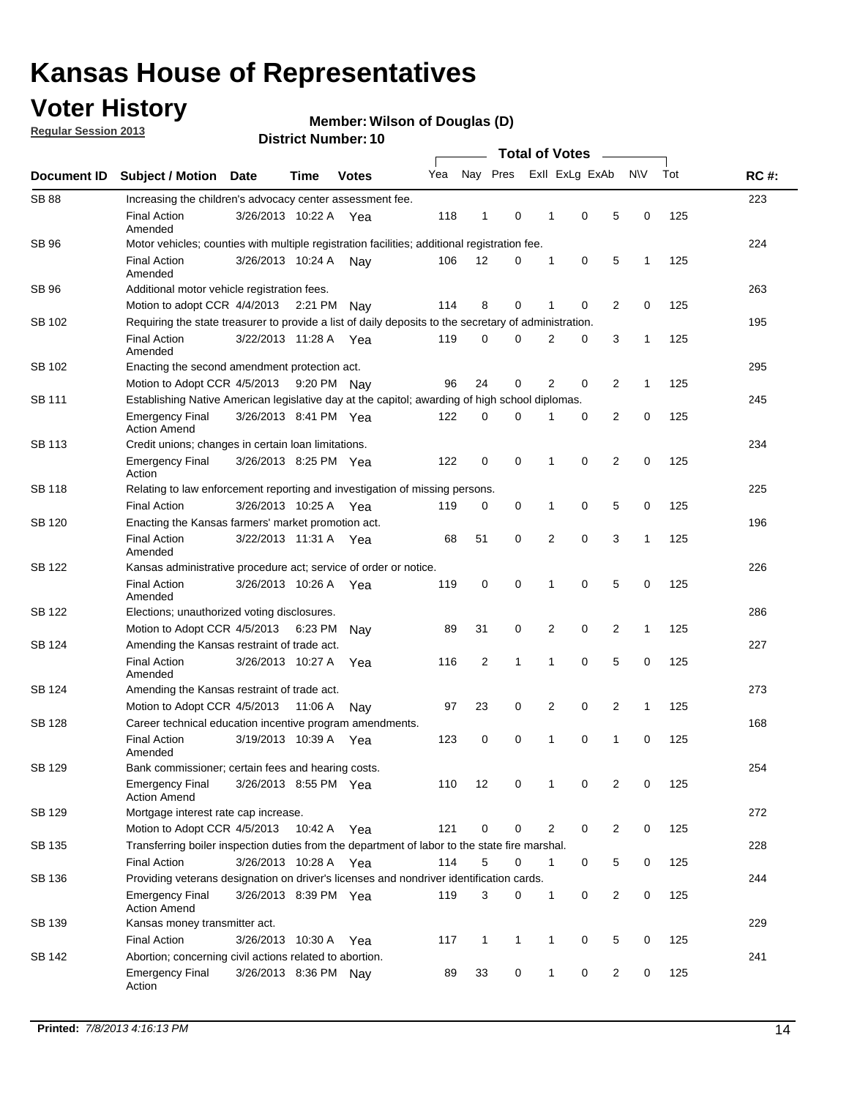## **Voter History**

**Regular Session 2013**

#### **Member: Wilson of Douglas (D)**

| Document ID   | <b>Subject / Motion</b>                                                                               | <b>Date</b>                                        | Time    | <b>Votes</b> | Yea | Nay Pres       |              | Exll ExLg ExAb |             |   | <b>NV</b>    | Tot | <b>RC#:</b> |  |  |  |  |  |  |
|---------------|-------------------------------------------------------------------------------------------------------|----------------------------------------------------|---------|--------------|-----|----------------|--------------|----------------|-------------|---|--------------|-----|-------------|--|--|--|--|--|--|
| <b>SB 88</b>  | Increasing the children's advocacy center assessment fee.                                             |                                                    |         |              |     |                |              |                |             |   |              |     | 223         |  |  |  |  |  |  |
|               | <b>Final Action</b><br>Amended                                                                        | 3/26/2013 10:22 A                                  |         | Yea          | 118 | $\mathbf{1}$   | 0            | $\mathbf 1$    | 0           | 5 | 0            | 125 |             |  |  |  |  |  |  |
| SB 96         | Motor vehicles; counties with multiple registration facilities; additional registration fee.          |                                                    |         |              |     |                |              |                |             |   |              |     | 224         |  |  |  |  |  |  |
|               | <b>Final Action</b><br>Amended                                                                        | 3/26/2013 10:24 A                                  |         | Nay          | 106 | 12             | 0            | 1              | 0           | 5 | 1            | 125 |             |  |  |  |  |  |  |
| SB 96         | Additional motor vehicle registration fees.                                                           |                                                    |         |              |     |                |              |                |             |   |              |     | 263         |  |  |  |  |  |  |
|               | Motion to adopt CCR 4/4/2013 2:21 PM                                                                  |                                                    |         | Nav          | 114 | 8              | 0            | 1              | 0           | 2 | $\mathbf 0$  | 125 |             |  |  |  |  |  |  |
| SB 102        | Requiring the state treasurer to provide a list of daily deposits to the secretary of administration. |                                                    |         |              |     |                |              |                |             |   |              |     | 195         |  |  |  |  |  |  |
|               | <b>Final Action</b><br>Amended                                                                        | 3/22/2013 11:28 A Yea                              |         |              | 119 | 0              | $\mathbf 0$  | $\overline{2}$ | 0           | 3 | 1            | 125 |             |  |  |  |  |  |  |
| SB 102        | Enacting the second amendment protection act.                                                         |                                                    |         |              |     |                |              |                |             |   |              |     |             |  |  |  |  |  |  |
|               | Motion to Adopt CCR 4/5/2013                                                                          |                                                    |         | 9:20 PM Nay  | 96  | 24             | 0            | 2              | 0           | 2 | 1            | 125 |             |  |  |  |  |  |  |
| SB 111        | Establishing Native American legislative day at the capitol; awarding of high school diplomas.        |                                                    |         |              |     |                |              |                |             |   |              |     | 245         |  |  |  |  |  |  |
|               | <b>Emergency Final</b><br><b>Action Amend</b>                                                         | 3/26/2013 8:41 PM Yea                              |         |              | 122 | 0              | 0            | 1              | 0           | 2 | 0            | 125 |             |  |  |  |  |  |  |
| SB 113        | Credit unions; changes in certain loan limitations.                                                   |                                                    |         |              |     |                |              |                |             |   |              |     | 234         |  |  |  |  |  |  |
|               | <b>Emergency Final</b><br>Action                                                                      | 3/26/2013 8:25 PM Yea                              |         |              | 122 | 0              | 0            | 1              | 0           | 2 | 0            | 125 |             |  |  |  |  |  |  |
| <b>SB 118</b> | Relating to law enforcement reporting and investigation of missing persons.                           |                                                    |         |              |     |                |              |                |             |   |              |     | 225         |  |  |  |  |  |  |
|               | <b>Final Action</b>                                                                                   | 3/26/2013 10:25 A Yea                              |         |              | 119 | 0              | 0            | 1              | 0           | 5 | 0            | 125 |             |  |  |  |  |  |  |
| SB 120        | Enacting the Kansas farmers' market promotion act.                                                    |                                                    |         |              |     |                |              |                |             |   |              |     | 196         |  |  |  |  |  |  |
|               | <b>Final Action</b><br>Amended                                                                        | 3/22/2013 11:31 A                                  |         | Yea          | 68  | 51             | 0            | $\overline{2}$ | $\mathbf 0$ | 3 | 1            | 125 |             |  |  |  |  |  |  |
| SB 122        | Kansas administrative procedure act; service of order or notice.                                      |                                                    |         |              |     |                |              |                |             |   |              |     | 226         |  |  |  |  |  |  |
|               | <b>Final Action</b><br>Amended                                                                        | 3/26/2013 10:26 A                                  |         | Yea          | 119 | 0              | 0            | 1              | $\mathbf 0$ | 5 | 0            | 125 |             |  |  |  |  |  |  |
| SB 122        | Elections; unauthorized voting disclosures.                                                           |                                                    |         |              |     |                |              |                |             |   |              |     |             |  |  |  |  |  |  |
|               | Motion to Adopt CCR 4/5/2013                                                                          |                                                    | 6:23 PM | Nav          | 89  | 31             | 0            | 2              | 0           | 2 | 1            | 125 |             |  |  |  |  |  |  |
| SB 124        | Amending the Kansas restraint of trade act.                                                           |                                                    |         |              |     |                |              |                |             |   |              |     | 227         |  |  |  |  |  |  |
|               | <b>Final Action</b><br>Amended                                                                        | 3/26/2013 10:27 A                                  |         | Yea          | 116 | $\overline{2}$ | $\mathbf{1}$ | 1              | 0           | 5 | 0            | 125 |             |  |  |  |  |  |  |
| SB 124        |                                                                                                       | 273<br>Amending the Kansas restraint of trade act. |         |              |     |                |              |                |             |   |              |     |             |  |  |  |  |  |  |
|               | Motion to Adopt CCR 4/5/2013                                                                          |                                                    | 11:06 A | Nav          | 97  | 23             | 0            | 2              | 0           | 2 | $\mathbf{1}$ | 125 |             |  |  |  |  |  |  |
| <b>SB 128</b> | Career technical education incentive program amendments.                                              |                                                    |         |              |     |                |              |                |             |   |              |     | 168         |  |  |  |  |  |  |
|               | <b>Final Action</b><br>Amended                                                                        | 3/19/2013 10:39 A                                  |         | Yea          | 123 | 0              | 0            | 1              | 0           | 1 | 0            | 125 |             |  |  |  |  |  |  |
| <b>SB 129</b> | Bank commissioner: certain fees and hearing costs.                                                    |                                                    |         |              |     |                |              |                |             |   |              |     | 254         |  |  |  |  |  |  |
|               | Emergency Final<br><b>Action Amend</b>                                                                | 3/26/2013 8:55 PM Yea                              |         |              | 110 | 12             | 0            | 1              | 0           | 2 | 0            | 125 |             |  |  |  |  |  |  |
| SB 129        | Mortgage interest rate cap increase.                                                                  |                                                    |         |              |     |                |              |                |             |   |              |     | 272         |  |  |  |  |  |  |
|               | Motion to Adopt CCR 4/5/2013                                                                          |                                                    | 10:42 A | Yea          | 121 | 0              | 0            | 2              | 0           | 2 | 0            | 125 |             |  |  |  |  |  |  |
| SB 135        | Transferring boiler inspection duties from the department of labor to the state fire marshal.         |                                                    |         |              |     |                |              |                |             |   |              |     | 228         |  |  |  |  |  |  |
|               | <b>Final Action</b>                                                                                   | 3/26/2013 10:28 A Yea                              |         |              | 114 | 5              | 0            | 1              | 0           | 5 | 0            | 125 |             |  |  |  |  |  |  |
| SB 136        | Providing veterans designation on driver's licenses and nondriver identification cards.               |                                                    |         |              |     |                |              |                |             |   |              |     | 244         |  |  |  |  |  |  |
|               | <b>Emergency Final</b><br><b>Action Amend</b>                                                         | 3/26/2013 8:39 PM Yea                              |         |              | 119 | 3              | 0            | 1              | 0           | 2 | 0            | 125 |             |  |  |  |  |  |  |
| SB 139        | Kansas money transmitter act.                                                                         |                                                    |         |              |     |                |              |                |             |   |              |     | 229         |  |  |  |  |  |  |
|               | <b>Final Action</b>                                                                                   | 3/26/2013 10:30 A                                  |         | Yea          | 117 | 1              | 1            | 1              | 0           | 5 | 0<br>125     |     |             |  |  |  |  |  |  |
| SB 142        | Abortion; concerning civil actions related to abortion.                                               |                                                    |         |              |     |                |              |                |             |   |              | 241 |             |  |  |  |  |  |  |
|               | <b>Emergency Final</b><br>Action                                                                      | 3/26/2013 8:36 PM Nay                              |         |              | 89  | 33             | 0            | 1              | 0           | 2 | 0            | 125 |             |  |  |  |  |  |  |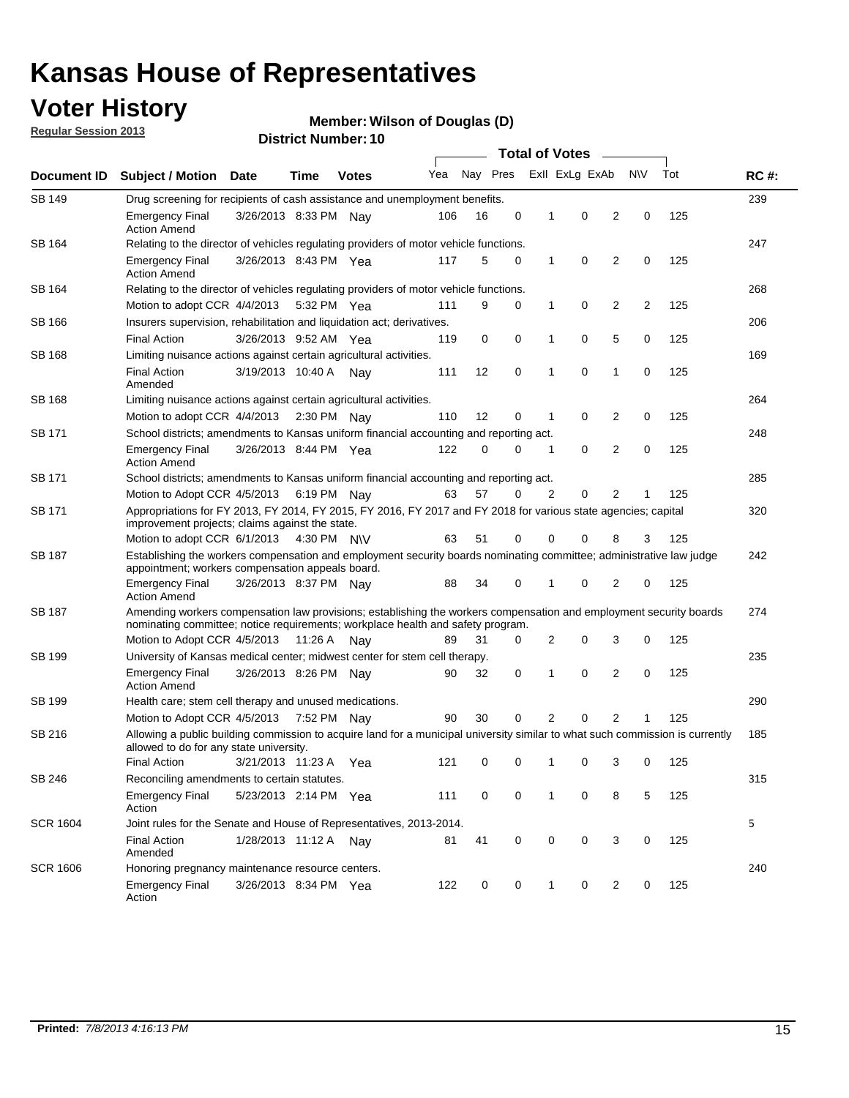## **Voter History**

**Regular Session 2013**

#### **Member: Wilson of Douglas (D)**

|                 |                                                                                                                                                                                                       |                                                                                    |             |              | <b>Total of Votes</b> |          |   |              |                |   |                |     |             |  |
|-----------------|-------------------------------------------------------------------------------------------------------------------------------------------------------------------------------------------------------|------------------------------------------------------------------------------------|-------------|--------------|-----------------------|----------|---|--------------|----------------|---|----------------|-----|-------------|--|
| Document ID     | <b>Subject / Motion Date</b>                                                                                                                                                                          |                                                                                    | Time        | <b>Votes</b> | Yea                   | Nay Pres |   |              | Exll ExLg ExAb |   | <b>NV</b>      | Tot | <b>RC#:</b> |  |
| SB 149          |                                                                                                                                                                                                       | 239<br>Drug screening for recipients of cash assistance and unemployment benefits. |             |              |                       |          |   |              |                |   |                |     |             |  |
|                 | <b>Emergency Final</b><br><b>Action Amend</b>                                                                                                                                                         | 3/26/2013 8:33 PM Nav                                                              |             |              | 106                   | 16       | 0 | 1            | 0              | 2 | 0              | 125 |             |  |
| SB 164          | Relating to the director of vehicles regulating providers of motor vehicle functions.                                                                                                                 |                                                                                    |             |              |                       |          |   |              |                |   |                |     | 247         |  |
|                 | <b>Emergency Final</b><br><b>Action Amend</b>                                                                                                                                                         | 3/26/2013 8:43 PM Yea                                                              |             |              | 117                   | 5        | 0 | 1            | 0              | 2 | 0              | 125 |             |  |
| SB 164          | Relating to the director of vehicles regulating providers of motor vehicle functions.                                                                                                                 |                                                                                    |             |              |                       |          |   |              |                |   |                |     | 268         |  |
|                 | Motion to adopt CCR 4/4/2013 5:32 PM Yea                                                                                                                                                              |                                                                                    |             |              | 111                   | 9        | 0 | $\mathbf{1}$ | 0              | 2 | $\overline{2}$ | 125 |             |  |
| SB 166          | Insurers supervision, rehabilitation and liquidation act; derivatives.                                                                                                                                |                                                                                    |             |              |                       |          |   |              |                |   |                |     | 206         |  |
|                 | <b>Final Action</b>                                                                                                                                                                                   | 3/26/2013 9:52 AM Yea                                                              |             |              | 119                   | 0        | 0 | 1            | 0              | 5 | 0              | 125 |             |  |
| <b>SB 168</b>   | Limiting nuisance actions against certain agricultural activities.                                                                                                                                    |                                                                                    |             |              |                       |          |   |              |                |   |                |     | 169         |  |
|                 | <b>Final Action</b><br>Amended                                                                                                                                                                        | 3/19/2013 10:40 A Nay                                                              |             |              | 111                   | 12       | 0 | 1            | $\mathbf 0$    | 1 | 0              | 125 |             |  |
| SB 168          | Limiting nuisance actions against certain agricultural activities.                                                                                                                                    |                                                                                    |             |              |                       |          |   |              |                |   |                |     | 264         |  |
|                 | Motion to adopt CCR 4/4/2013                                                                                                                                                                          |                                                                                    |             | 2:30 PM Nav  | 110                   | 12       | 0 | 1            | 0              | 2 | 0              | 125 |             |  |
| SB 171          | School districts; amendments to Kansas uniform financial accounting and reporting act.                                                                                                                |                                                                                    |             |              |                       |          |   |              |                |   |                |     | 248         |  |
|                 | <b>Emergency Final</b><br><b>Action Amend</b>                                                                                                                                                         | 3/26/2013 8:44 PM Yea                                                              |             |              | 122                   | 0        | 0 | 1            | 0              | 2 | 0              | 125 |             |  |
| SB 171          | School districts; amendments to Kansas uniform financial accounting and reporting act.                                                                                                                |                                                                                    |             |              |                       |          |   |              |                |   |                |     | 285         |  |
|                 | Motion to Adopt CCR 4/5/2013 6:19 PM Nay                                                                                                                                                              |                                                                                    |             |              | 63                    | 57       | 0 | 2            | 0              | 2 | 1              | 125 |             |  |
| SB 171          | Appropriations for FY 2013, FY 2014, FY 2015, FY 2016, FY 2017 and FY 2018 for various state agencies; capital<br>improvement projects; claims against the state.                                     |                                                                                    |             |              |                       |          |   |              |                |   |                |     | 320         |  |
|                 | Motion to adopt CCR 6/1/2013 4:30 PM N\V                                                                                                                                                              |                                                                                    |             |              | 63                    | 51       | 0 | 0            | 0              | 8 | 3              | 125 |             |  |
| <b>SB 187</b>   | Establishing the workers compensation and employment security boards nominating committee; administrative law judge<br>appointment; workers compensation appeals board.                               |                                                                                    |             |              |                       |          |   |              |                |   |                |     | 242         |  |
|                 | <b>Emergency Final</b><br><b>Action Amend</b>                                                                                                                                                         | 3/26/2013 8:37 PM Nav                                                              |             |              | 88                    | 34       | 0 | 1            | 0              | 2 | 0              | 125 |             |  |
| SB 187          | Amending workers compensation law provisions; establishing the workers compensation and employment security boards<br>nominating committee; notice requirements; workplace health and safety program. |                                                                                    |             |              |                       |          |   |              |                |   |                |     | 274         |  |
|                 | Motion to Adopt CCR 4/5/2013 11:26 A Nay                                                                                                                                                              |                                                                                    |             |              | 89                    | 31       | 0 | 2            | 0              | 3 | 0              | 125 |             |  |
| SB 199          | University of Kansas medical center; midwest center for stem cell therapy.                                                                                                                            |                                                                                    |             |              |                       |          |   |              |                |   |                |     | 235         |  |
|                 | <b>Emergency Final</b><br><b>Action Amend</b>                                                                                                                                                         | 3/26/2013 8:26 PM Nav                                                              |             |              | 90                    | 32       | 0 | 1            | 0              | 2 | 0              | 125 |             |  |
| SB 199          | Health care; stem cell therapy and unused medications.                                                                                                                                                |                                                                                    |             |              |                       |          |   |              |                |   |                |     | 290         |  |
|                 | Motion to Adopt CCR 4/5/2013                                                                                                                                                                          |                                                                                    | 7:52 PM Nay |              | 90                    | 30       | 0 | 2            | 0              | 2 | 1              | 125 |             |  |
| SB 216          | Allowing a public building commission to acquire land for a municipal university similar to what such commission is currently<br>allowed to do for any state university.                              |                                                                                    |             |              |                       |          |   |              |                |   |                | 185 |             |  |
|                 | <b>Final Action</b>                                                                                                                                                                                   | 3/21/2013 11:23 A                                                                  |             | Yea          | 121                   | 0        | 0 | 1            | 0              | 3 | 0              | 125 |             |  |
| SB 246          | Reconciling amendments to certain statutes.                                                                                                                                                           |                                                                                    |             |              |                       |          |   |              |                |   |                |     | 315         |  |
|                 | <b>Emergency Final</b><br>Action                                                                                                                                                                      | 5/23/2013 2:14 PM Yea                                                              |             |              | 111                   | 0        | 0 | 1            | 0              | 8 | 5              | 125 |             |  |
| <b>SCR 1604</b> | Joint rules for the Senate and House of Representatives, 2013-2014.                                                                                                                                   |                                                                                    |             |              |                       |          |   |              |                |   |                |     | 5           |  |
|                 | <b>Final Action</b><br>Amended                                                                                                                                                                        | 1/28/2013 11:12 A                                                                  |             | Nay          | 81                    | 41       | 0 | 0            | 0              | 3 | 0              | 125 |             |  |
| <b>SCR 1606</b> | Honoring pregnancy maintenance resource centers.                                                                                                                                                      |                                                                                    |             |              |                       |          |   |              |                |   |                |     | 240         |  |
|                 | <b>Emergency Final</b><br>Action                                                                                                                                                                      | 3/26/2013 8:34 PM Yea                                                              |             |              | 122                   | 0        | 0 | 1            | 0              | 2 | 0              | 125 |             |  |